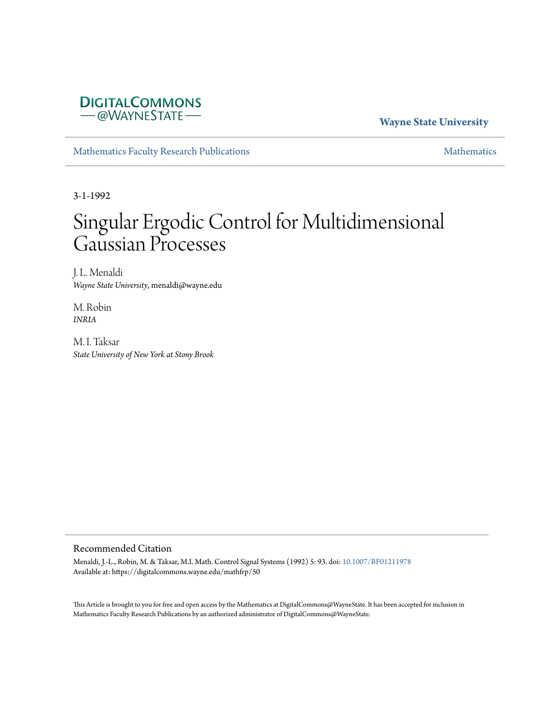### **DIGITALCOMMONS** -@WAYNESTATE-

#### **Wayne State University**

[Mathematics Faculty Research Publications](https://digitalcommons.wayne.edu/mathfrp) **[Mathematics](https://digitalcommons.wayne.edu/math)** Mathematics

3-1-1992

# Singular Ergodic Control for Multidimensional Gaussian Processes

J. L. Menaldi *Wayne State University*, menaldi@wayne.edu

M. Robin *INRIA*

M. I. Taksar *State University of New York at Stony Brook*

#### Recommended Citation

Menaldi, J.-L., Robin, M. & Taksar, M.I. Math. Control Signal Systems (1992) 5: 93. doi: [10.1007/BF01211978](https://dx.doi.org/10.1007/BF01211978) Available at: https://digitalcommons.wayne.edu/mathfrp/50

This Article is brought to you for free and open access by the Mathematics at DigitalCommons@WayneState. It has been accepted for inclusion in Mathematics Faculty Research Publications by an authorized administrator of DigitalCommons@WayneState.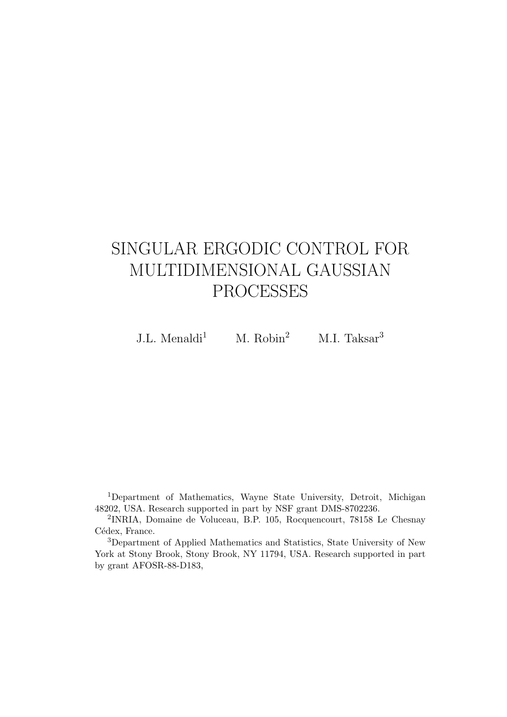## SINGULAR ERGODIC CONTROL FOR MULTIDIMENSIONAL GAUSSIAN PROCESSES

J.L. Menaldi<sup>1</sup> M. Robin<sup>2</sup> M.I. Taksar<sup>3</sup>

<sup>1</sup>Department of Mathematics, Wayne State University, Detroit, Michigan 48202, USA. Research supported in part by NSF grant DMS-8702236.

2 INRIA, Domaine de Voluceau, B.P. 105, Rocquencourt, 78158 Le Chesnay Cédex, France.

<sup>3</sup>Department of Applied Mathematics and Statistics, State University of New York at Stony Brook, Stony Brook, NY 11794, USA. Research supported in part by grant AFOSR-88-D183,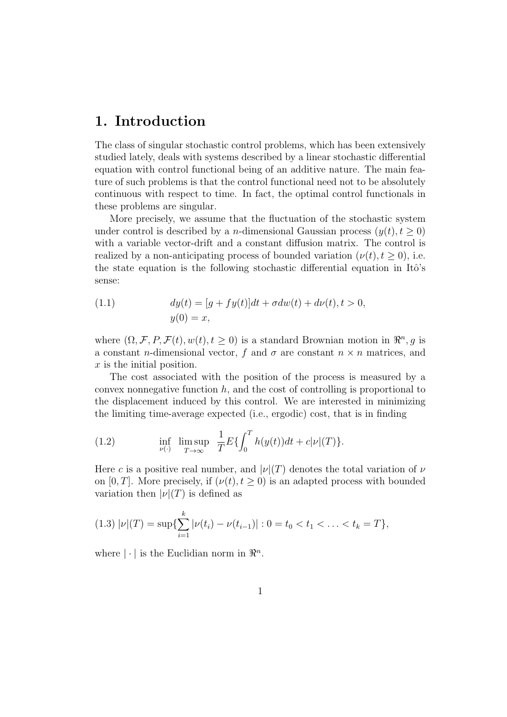## **1. Introduction**

The class of singular stochastic control problems, which has been extensively studied lately, deals with systems described by a linear stochastic differential equation with control functional being of an additive nature. The main feature of such problems is that the control functional need not to be absolutely continuous with respect to time. In fact, the optimal control functionals in these problems are singular.

More precisely, we assume that the fluctuation of the stochastic system under control is described by a *n*-dimensional Gaussian process  $(y(t), t \geq 0)$ with a variable vector-drift and a constant diffusion matrix. The control is realized by a non-anticipating process of bounded variation  $(\nu(t), t \geq 0)$ , i.e. the state equation is the following stochastic differential equation in Itô's sense:

(1.1) 
$$
dy(t) = [g + fy(t)]dt + \sigma dw(t) + d\nu(t), t > 0,
$$

$$
y(0) = x,
$$

where  $(\Omega, \mathcal{F}, P, \mathcal{F}(t), w(t), t \geq 0)$  is a standard Brownian motion in  $\mathbb{R}^n, g$  is a constant *n*-dimensional vector, *f* and  $\sigma$  are constant  $n \times n$  matrices, and *x* is the initial position.

The cost associated with the position of the process is measured by a convex nonnegative function *h*, and the cost of controlling is proportional to the displacement induced by this control. We are interested in minimizing the limiting time-average expected (i.e., ergodic) cost, that is in finding

(1.2) 
$$
\inf_{\nu(\cdot)} \limsup_{T \to \infty} \frac{1}{T} E\{\int_0^T h(y(t))dt + c|\nu|(T)\}.
$$

Here *c* is a positive real number, and  $|\nu|(T)$  denotes the total variation of  $\nu$ on [0, T]. More precisely, if  $(\nu(t), t \geq 0)$  is an adapted process with bounded variation then  $|\nu|(T)$  is defined as

$$
(1.3) |\nu|(T) = \sup \{ \sum_{i=1}^k |\nu(t_i) - \nu(t_{i-1})| : 0 = t_0 < t_1 < \ldots < t_k = T \},
$$

where  $|\cdot|$  is the Euclidian norm in  $\mathbb{R}^n$ .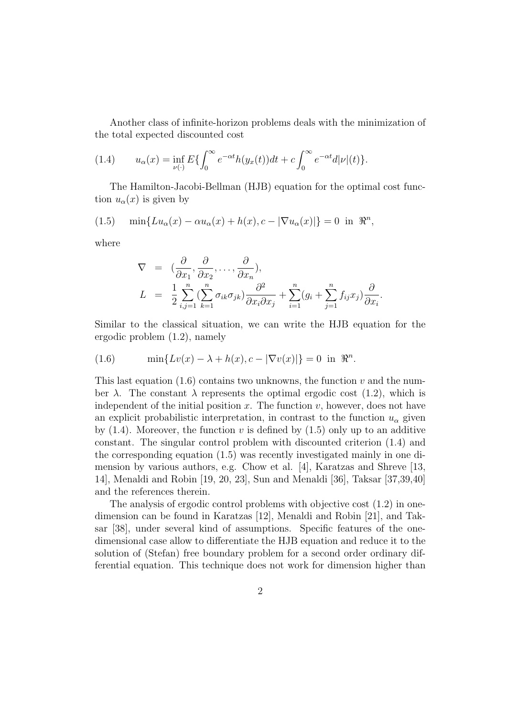Another class of infinite-horizon problems deals with the minimization of the total expected discounted cost

(1.4) 
$$
u_{\alpha}(x) = \inf_{\nu(\cdot)} E\{\int_0^{\infty} e^{-\alpha t} h(y_x(t)) dt + c \int_0^{\infty} e^{-\alpha t} d|\nu|(t)\}.
$$

The Hamilton-Jacobi-Bellman (HJB) equation for the optimal cost function  $u_{\alpha}(x)$  is given by

(1.5) 
$$
\min\{Lu_{\alpha}(x) - \alpha u_{\alpha}(x) + h(x), c - |\nabla u_{\alpha}(x)|\} = 0 \text{ in } \mathbb{R}^{n},
$$

where

$$
\nabla = \left( \frac{\partial}{\partial x_1}, \frac{\partial}{\partial x_2}, \dots, \frac{\partial}{\partial x_n} \right),
$$
  
\n
$$
L = \frac{1}{2} \sum_{i,j=1}^n \left( \sum_{k=1}^n \sigma_{ik} \sigma_{jk} \right) \frac{\partial^2}{\partial x_i \partial x_j} + \sum_{i=1}^n (g_i + \sum_{j=1}^n f_{ij} x_j) \frac{\partial}{\partial x_i}.
$$

Similar to the classical situation, we can write the HJB equation for the ergodic problem (1.2), namely

(1.6) 
$$
\min\{Lv(x) - \lambda + h(x), c - |\nabla v(x)|\} = 0 \text{ in } \Re^n.
$$

This last equation (1.6) contains two unknowns, the function *v* and the number  $\lambda$ . The constant  $\lambda$  represents the optimal ergodic cost (1.2), which is independent of the initial position  $x$ . The function  $v$ , however, does not have an explicit probabilistic interpretation, in contrast to the function  $u_{\alpha}$  given by  $(1.4)$ . Moreover, the function *v* is defined by  $(1.5)$  only up to an additive constant. The singular control problem with discounted criterion (1.4) and the corresponding equation (1.5) was recently investigated mainly in one dimension by various authors, e.g. Chow et al. [4], Karatzas and Shreve [13, 14], Menaldi and Robin [19, 20, 23], Sun and Menaldi [36], Taksar [37,39,40] and the references therein.

The analysis of ergodic control problems with objective cost (1.2) in onedimension can be found in Karatzas [12], Menaldi and Robin [21], and Taksar [38], under several kind of assumptions. Specific features of the onedimensional case allow to differentiate the HJB equation and reduce it to the solution of (Stefan) free boundary problem for a second order ordinary differential equation. This technique does not work for dimension higher than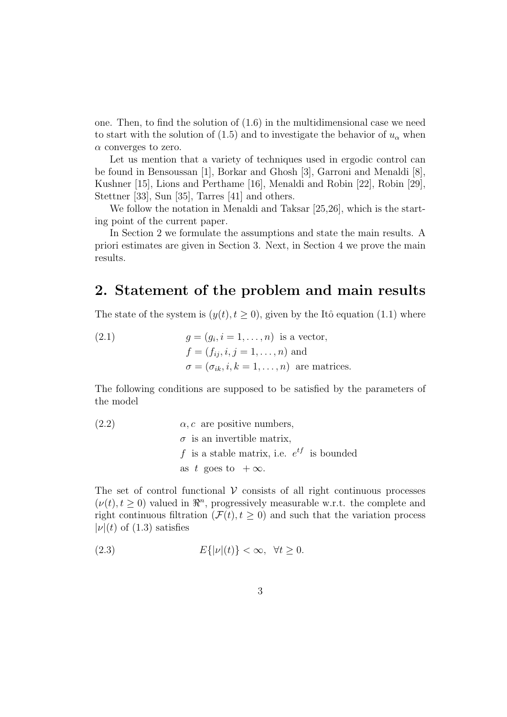one. Then, to find the solution of (1.6) in the multidimensional case we need to start with the solution of (1.5) and to investigate the behavior of  $u_{\alpha}$  when *α* converges to zero.

Let us mention that a variety of techniques used in ergodic control can be found in Bensoussan [1], Borkar and Ghosh [3], Garroni and Menaldi [8], Kushner [15], Lions and Perthame [16], Menaldi and Robin [22], Robin [29], Stettner [33], Sun [35], Tarres [41] and others.

We follow the notation in Menaldi and Taksar [25,26], which is the starting point of the current paper.

In Section 2 we formulate the assumptions and state the main results. A priori estimates are given in Section 3. Next, in Section 4 we prove the main results.

## **2. Statement of the problem and main results**

The state of the system is  $(y(t), t \ge 0)$ , given by the Itô equation (1.1) where

(2.1) 
$$
g = (g_i, i = 1, \dots, n) \text{ is a vector,}
$$

$$
f = (f_{ij}, i, j = 1, \dots, n) \text{ and}
$$

$$
\sigma = (\sigma_{ik}, i, k = 1, \dots, n) \text{ are matrices.}
$$

The following conditions are supposed to be satisfied by the parameters of the model

(2.2) 
$$
\alpha, c
$$
 are positive numbers,  
\n $\sigma$  is an invertible matrix,  
\n $f$  is a stable matrix, i.e.  $e^{tf}$  is bounded  
\nas  $t$  goes to  $+\infty$ .

The set of control functional  $V$  consists of all right continuous processes  $(\nu(t), t \geq 0)$  valued in  $\mathbb{R}^n$ , progressively measurable w.r.t. the complete and right continuous filtration ( $\mathcal{F}(t), t \geq 0$ ) and such that the variation process  $|\nu|(t)$  of (1.3) satisfies

$$
(2.3) \t\t\t E\{|\nu|(t)\} < \infty, \ \forall t \ge 0.
$$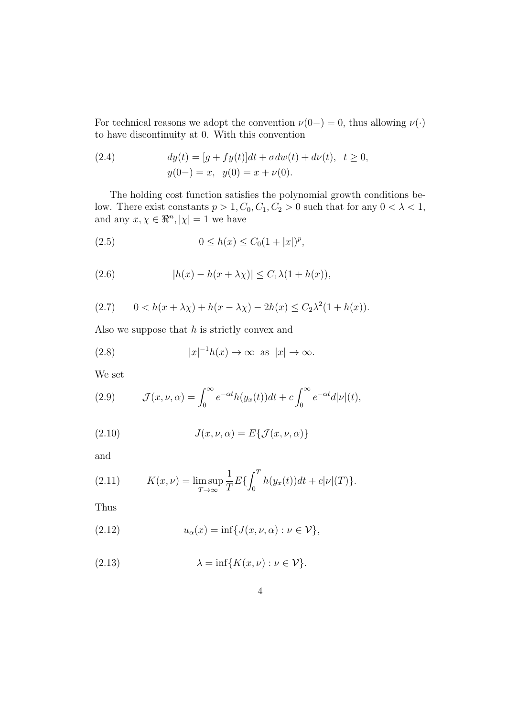For technical reasons we adopt the convention  $\nu(0-) = 0$ , thus allowing  $\nu(\cdot)$ to have discontinuity at 0. With this convention

(2.4) 
$$
dy(t) = [g + fy(t)]dt + \sigma dw(t) + d\nu(t), \quad t \ge 0,
$$

$$
y(0-) = x, \quad y(0) = x + \nu(0).
$$

The holding cost function satisfies the polynomial growth conditions below. There exist constants  $p > 1, C_0, C_1, C_2 > 0$  such that for any  $0 < \lambda < 1$ , and any  $x, \chi \in \Re^n, |\chi| = 1$  we have

(2.5) 
$$
0 \le h(x) \le C_0 (1+|x|)^p,
$$

(2.6) 
$$
|h(x) - h(x + \lambda \chi)| \leq C_1 \lambda (1 + h(x)),
$$

(2.7) 
$$
0 < h(x + \lambda \chi) + h(x - \lambda \chi) - 2h(x) \le C_2 \lambda^2 (1 + h(x)).
$$

Also we suppose that *h* is strictly convex and

(2.8) 
$$
|x|^{-1}h(x) \to \infty \text{ as } |x| \to \infty.
$$

We set

(2.9) 
$$
\mathcal{J}(x,\nu,\alpha) = \int_0^\infty e^{-\alpha t} h(y_x(t)) dt + c \int_0^\infty e^{-\alpha t} d|\nu|(t),
$$

(2.10) 
$$
J(x, \nu, \alpha) = E\{J(x, \nu, \alpha)\}
$$

and

(2.11) 
$$
K(x,\nu) = \limsup_{T \to \infty} \frac{1}{T} E\{\int_0^T h(y_x(t))dt + c|\nu|(T)\}.
$$

Thus

(2.12) 
$$
u_{\alpha}(x) = \inf \{ J(x, \nu, \alpha) : \nu \in \mathcal{V} \},
$$

(2.13) 
$$
\lambda = \inf \{ K(x, \nu) : \nu \in \mathcal{V} \}.
$$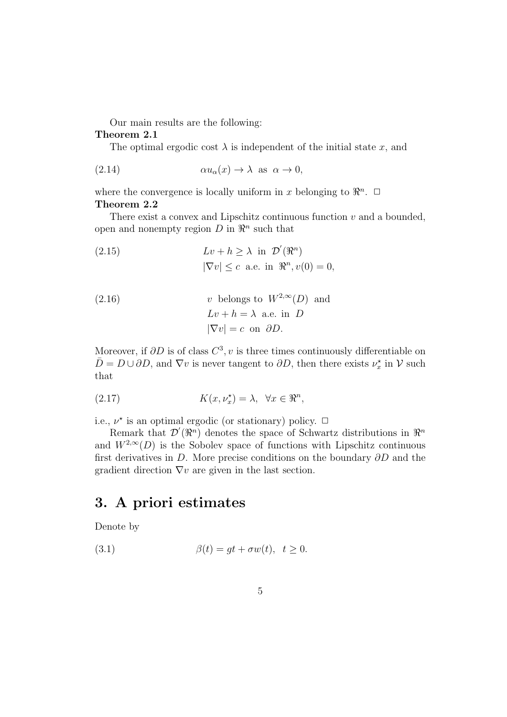Our main results are the following:

#### **Theorem 2.1**

The optimal ergodic cost  $\lambda$  is independent of the initial state *x*, and

(2.14) 
$$
\alpha u_{\alpha}(x) \to \lambda \text{ as } \alpha \to 0,
$$

where the convergence is locally uniform in *x* belonging to  $\mathbb{R}^n$ .  $\Box$ **Theorem 2.2**

There exist a convex and Lipschitz continuous function *v* and a bounded, open and nonempty region  $D$  in  $\mathbb{R}^n$  such that

(2.15) 
$$
Lv + h \ge \lambda \text{ in } \mathcal{D}'(\mathbb{R}^n)
$$

$$
|\nabla v| \le c \text{ a.e. in } \mathbb{R}^n, v(0) = 0,
$$

(2.16) 
$$
v \text{ belongs to } W^{2,\infty}(D) \text{ and}
$$

$$
Lv + h = \lambda \text{ a.e. in } D
$$

$$
|\nabla v| = c \text{ on } \partial D.
$$

Moreover, if  $\partial D$  is of class  $C^3$ , *v* is three times continuously differentiable on  $\bar{D} = D \cup \partial D$ , and  $\nabla v$  is never tangent to  $\partial D$ , then there exists  $\nu_x^*$  in  $\mathcal V$  such that

(2.17) 
$$
K(x,\nu_x^{\star}) = \lambda, \quad \forall x \in \Re^n,
$$

i.e.,  $\nu^*$  is an optimal ergodic (or stationary) policy.  $\Box$ 

Remark that  $\mathcal{D}'(\mathbb{R}^n)$  denotes the space of Schwartz distributions in  $\mathbb{R}^n$ and  $W^{2,\infty}(D)$  is the Sobolev space of functions with Lipschitz continuous first derivatives in *D*. More precise conditions on the boundary *∂D* and the gradient direction *∇v* are given in the last section.

## **3. A priori estimates**

Denote by

(3.1) 
$$
\beta(t) = gt + \sigma w(t), \quad t \ge 0.
$$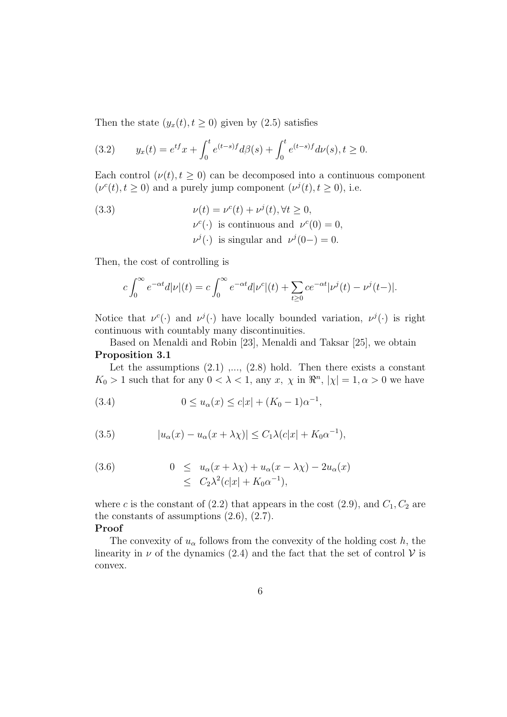Then the state  $(y_x(t), t \ge 0)$  given by (2.5) satisfies

(3.2) 
$$
y_x(t) = e^{tf}x + \int_0^t e^{(t-s)f}d\beta(s) + \int_0^t e^{(t-s)f}d\nu(s), t \ge 0.
$$

Each control  $(\nu(t), t \geq 0)$  can be decomposed into a continuous component  $(\nu^c(t), t \geq 0)$  and a purely jump component  $(\nu^j(t), t \geq 0)$ , i.e.

(3.3) 
$$
\nu(t) = \nu^{c}(t) + \nu^{j}(t), \forall t \ge 0,
$$

$$
\nu^{c}(\cdot) \text{ is continuous and } \nu^{c}(0) = 0,
$$

$$
\nu^{j}(\cdot) \text{ is singular and } \nu^{j}(0-) = 0.
$$

Then, the cost of controlling is

$$
c \int_0^{\infty} e^{-\alpha t} d|\nu|(t) = c \int_0^{\infty} e^{-\alpha t} d|\nu^c|(t) + \sum_{t \ge 0} c e^{-\alpha t} |\nu^j(t) - \nu^j(t-)|.
$$

Notice that  $\nu^{c}(\cdot)$  and  $\nu^{j}(\cdot)$  have locally bounded variation,  $\nu^{j}(\cdot)$  is right continuous with countably many discontinuities.

Based on Menaldi and Robin [23], Menaldi and Taksar [25], we obtain **Proposition 3.1**

Let the assumptions  $(2.1)$ ,...,  $(2.8)$  hold. Then there exists a constant *K*<sub>0</sub> > 1 such that for any  $0 < \lambda < 1$ , any *x*,  $\chi$  in  $\mathbb{R}^n$ ,  $|\chi| = 1, \alpha > 0$  we have

(3.4) 
$$
0 \le u_{\alpha}(x) \le c|x| + (K_0 - 1)\alpha^{-1},
$$

(3.5) 
$$
|u_{\alpha}(x) - u_{\alpha}(x + \lambda \chi)| \leq C_1 \lambda (c|x| + K_0 \alpha^{-1}),
$$

(3.6) 
$$
0 \leq u_{\alpha}(x + \lambda \chi) + u_{\alpha}(x - \lambda \chi) - 2u_{\alpha}(x)
$$

$$
\leq C_2 \lambda^2 (c|x| + K_0 \alpha^{-1}),
$$

where *c* is the constant of  $(2.2)$  that appears in the cost  $(2.9)$ , and  $C_1$ ,  $C_2$  are the constants of assumptions  $(2.6)$ ,  $(2.7)$ .

#### **Proof**

The convexity of  $u_\alpha$  follows from the convexity of the holding cost *h*, the linearity in  $\nu$  of the dynamics (2.4) and the fact that the set of control  $\nu$  is convex.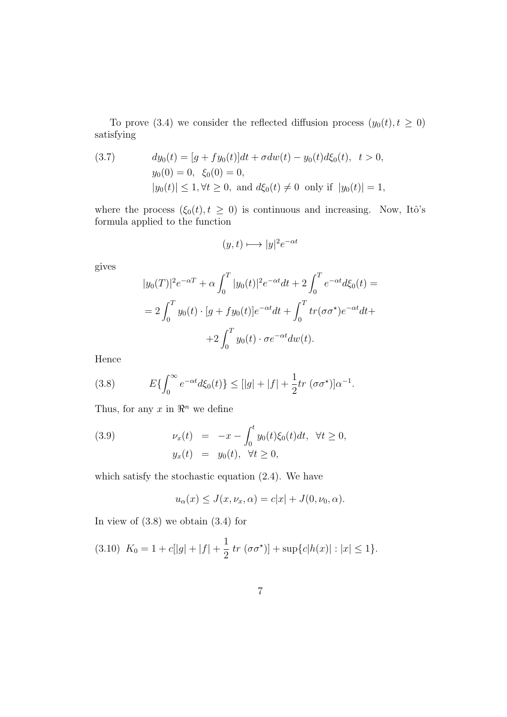To prove (3.4) we consider the reflected diffusion process  $(y_0(t), t \ge 0)$ satisfying

(3.7) 
$$
dy_0(t) = [g + fy_0(t)]dt + \sigma dw(t) - y_0(t)d\xi_0(t), \quad t > 0,
$$

$$
y_0(0) = 0, \quad \xi_0(0) = 0,
$$

$$
|y_0(t)| \le 1, \forall t \ge 0, \text{ and } d\xi_0(t) \ne 0 \text{ only if } |y_0(t)| = 1,
$$

where the process  $(\xi_0(t), t \geq 0)$  is continuous and increasing. Now, Itô's formula applied to the function

$$
(y,t)\longmapsto |y|^2e^{-\alpha t}
$$

gives

$$
|y_0(T)|^2 e^{-\alpha T} + \alpha \int_0^T |y_0(t)|^2 e^{-\alpha t} dt + 2 \int_0^T e^{-\alpha t} d\xi_0(t) =
$$
  
=  $2 \int_0^T y_0(t) \cdot [g + fy_0(t)] e^{-\alpha t} dt + \int_0^T tr(\sigma \sigma^*) e^{-\alpha t} dt +$   
+  $2 \int_0^T y_0(t) \cdot \sigma e^{-\alpha t} dw(t).$ 

Hence

(3.8) 
$$
E\{\int_0^\infty e^{-\alpha t}d\xi_0(t)\} \leq [|g|+|f| + \frac{1}{2}tr(\sigma\sigma^{\star})]\alpha^{-1}.
$$

Thus, for any  $x$  in  $\mathbb{R}^n$  we define

(3.9) 
$$
\nu_x(t) = -x - \int_0^t y_0(t)\xi_0(t)dt, \ \forall t \ge 0, \n y_x(t) = y_0(t), \ \forall t \ge 0,
$$

which satisfy the stochastic equation (2.4). We have

$$
u_{\alpha}(x) \leq J(x, \nu_x, \alpha) = c|x| + J(0, \nu_0, \alpha).
$$

In view of  $(3.8)$  we obtain  $(3.4)$  for

$$
(3.10) K_0 = 1 + c[|g| + |f| + \frac{1}{2} tr (\sigma \sigma^*)] + \sup\{c|h(x)| : |x| \le 1\}.
$$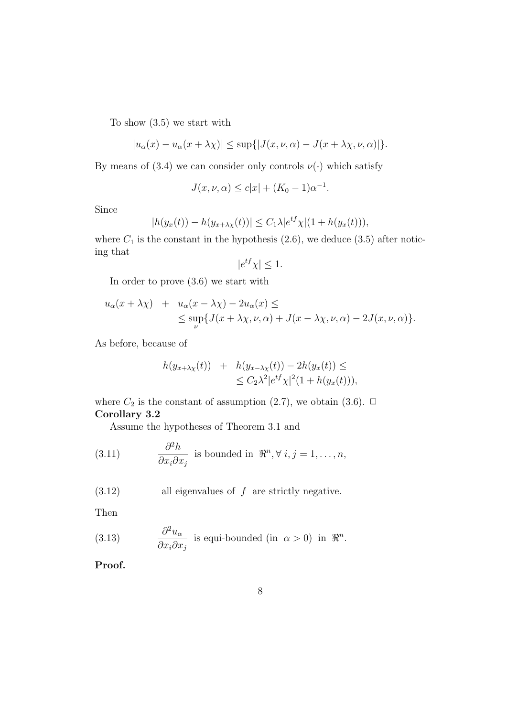To show (3.5) we start with

$$
|u_{\alpha}(x) - u_{\alpha}(x + \lambda \chi)| \leq \sup\{|J(x, \nu, \alpha) - J(x + \lambda \chi, \nu, \alpha)|\}.
$$

By means of (3.4) we can consider only controls  $\nu(\cdot)$  which satisfy

$$
J(x, \nu, \alpha) \le c|x| + (K_0 - 1)\alpha^{-1}.
$$

Since

$$
|h(y_x(t)) - h(y_{x + \lambda \chi}(t))| \le C_1 \lambda |e^{tf} \chi|(1 + h(y_x(t))),
$$

where  $C_1$  is the constant in the hypothesis  $(2.6)$ , we deduce  $(3.5)$  after noticing that

$$
|e^{tf}\chi| \le 1.
$$

In order to prove (3.6) we start with

$$
u_{\alpha}(x + \lambda \chi) + u_{\alpha}(x - \lambda \chi) - 2u_{\alpha}(x) \le
$$
  
\$\leq \sup\_{\nu} {J(x + \lambda \chi, \nu, \alpha) + J(x - \lambda \chi, \nu, \alpha) - 2J(x, \nu, \alpha)}\$.

As before, because of

$$
h(y_{x+\lambda\chi}(t)) + h(y_{x-\lambda\chi}(t)) - 2h(y_x(t)) \le \le C_2\lambda^2|e^{tf}\chi|^2(1+h(y_x(t))),
$$

where  $C_2$  is the constant of assumption (2.7), we obtain (3.6).  $\Box$ **Corollary 3.2**

Assume the hypotheses of Theorem 3.1 and

(3.11) 
$$
\frac{\partial^2 h}{\partial x_i \partial x_j}
$$
 is bounded in  $\mathbb{R}^n, \forall i, j = 1, ..., n$ ,

(3.12) all eigenvalues of *f* are strictly negative*.*

Then

(3.13) 
$$
\frac{\partial^2 u_{\alpha}}{\partial x_i \partial x_j}
$$
 is equi-bounded (in  $\alpha > 0$ ) in  $\mathbb{R}^n$ .

**Proof.**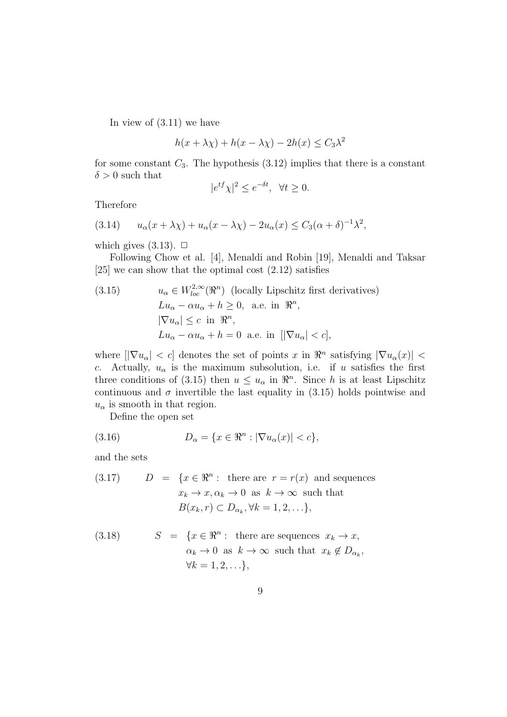In view of (3.11) we have

$$
h(x + \lambda \chi) + h(x - \lambda \chi) - 2h(x) \le C_3 \lambda^2
$$

for some constant  $C_3$ . The hypothesis  $(3.12)$  implies that there is a constant  $\delta > 0$  such that

$$
|e^{tf}\chi|^2 \le e^{-\delta t}, \ \ \forall t \ge 0.
$$

Therefore

(3.14) 
$$
u_{\alpha}(x+\lambda\chi)+u_{\alpha}(x-\lambda\chi)-2u_{\alpha}(x) \leq C_3(\alpha+\delta)^{-1}\lambda^2,
$$

which gives  $(3.13)$ .  $\Box$ 

Following Chow et al. [4], Menaldi and Robin [19], Menaldi and Taksar [25] we can show that the optimal cost (2.12) satisfies

(3.15) 
$$
u_{\alpha} \in W_{loc}^{2,\infty}(\mathbb{R}^n) \text{ (locally Lipschitz first derivatives)}
$$

$$
Lu_{\alpha} - \alpha u_{\alpha} + h \geq 0, \text{ a.e. in } \mathbb{R}^n,
$$

$$
|\nabla u_{\alpha}| \leq c \text{ in } \mathbb{R}^n,
$$

$$
Lu_{\alpha} - \alpha u_{\alpha} + h = 0 \text{ a.e. in } [|\nabla u_{\alpha}| < c],
$$

where  $\left|\nabla u_{\alpha}\right| < c$  denotes the set of points *x* in  $\Re^n$  satisfying  $|\nabla u_{\alpha}(x)|$ *c*. Actually,  $u_{\alpha}$  is the maximum subsolution, i.e. if *u* satisfies the first three conditions of (3.15) then  $u \leq u_\alpha$  in  $\Re^n$ . Since *h* is at least Lipschitz continuous and  $\sigma$  invertible the last equality in  $(3.15)$  holds pointwise and  $u_{\alpha}$  is smooth in that region.

Define the open set

(3.16) 
$$
D_{\alpha} = \{x \in \mathbb{R}^n : |\nabla u_{\alpha}(x)| < c\},
$$

and the sets

(3.17) 
$$
D = \{x \in \mathbb{R}^n : \text{ there are } r = r(x) \text{ and sequences } x_k \to x, \alpha_k \to 0 \text{ as } k \to \infty \text{ such that } B(x_k, r) \subset D_{\alpha_k}, \forall k = 1, 2, \ldots \},
$$

(3.18) 
$$
S = \{x \in \mathbb{R}^n : \text{ there are sequences } x_k \to x, \\ \alpha_k \to 0 \text{ as } k \to \infty \text{ such that } x_k \notin D_{\alpha_k}, \\ \forall k = 1, 2, \ldots \},
$$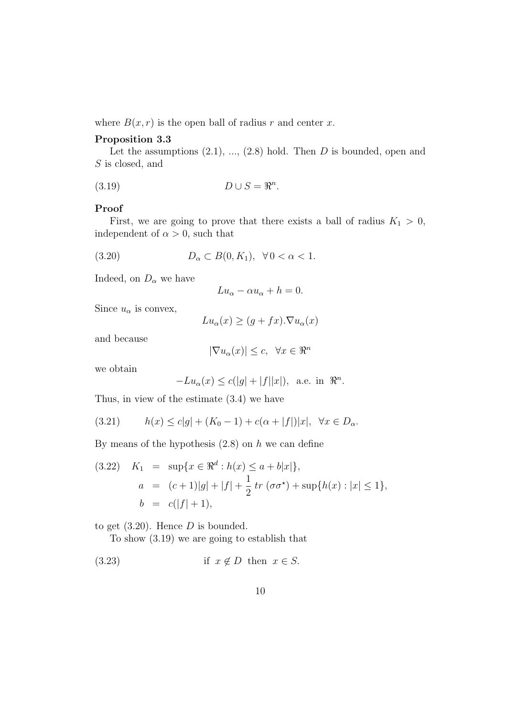where  $B(x, r)$  is the open ball of radius *r* and center *x*.

#### **Proposition 3.3**

Let the assumptions  $(2.1), ..., (2.8)$  hold. Then *D* is bounded, open and *S* is closed, and

$$
(3.19) \t\t D \cup S = \mathbb{R}^n.
$$

#### **Proof**

First, we are going to prove that there exists a ball of radius  $K_1 > 0$ , independent of  $\alpha > 0$ , such that

$$
(3.20) \t\t D_{\alpha} \subset B(0, K_1), \quad \forall \, 0 < \alpha < 1.
$$

Indeed, on  $D_{\alpha}$  we have

$$
Lu_{\alpha} - \alpha u_{\alpha} + h = 0.
$$

Since  $u_{\alpha}$  is convex,

$$
Lu_{\alpha}(x) \ge (g + fx) . \nabla u_{\alpha}(x)
$$

and because

$$
|\nabla u_{\alpha}(x)| \leq c, \ \ \forall x \in \Re^n
$$

we obtain

$$
-Lu_{\alpha}(x) \le c(|g| + |f||x|), \text{ a.e. in } \mathbb{R}^n.
$$

Thus, in view of the estimate (3.4) we have

(3.21) 
$$
h(x) \le c|g| + (K_0 - 1) + c(\alpha + |f|)|x|, \ \forall x \in D_\alpha.
$$

By means of the hypothesis (2.8) on *h* we can define

(3.22) 
$$
K_1 = \sup\{x \in \mathbb{R}^d : h(x) \le a + b|x|\},
$$
  
\n $a = (c+1)|g| + |f| + \frac{1}{2}tr(\sigma\sigma^*) + \sup\{h(x) : |x| \le 1\},$   
\n $b = c(|f| + 1),$ 

to get (3.20). Hence *D* is bounded.

To show (3.19) we are going to establish that

(3.23) if 
$$
x \notin D
$$
 then  $x \in S$ .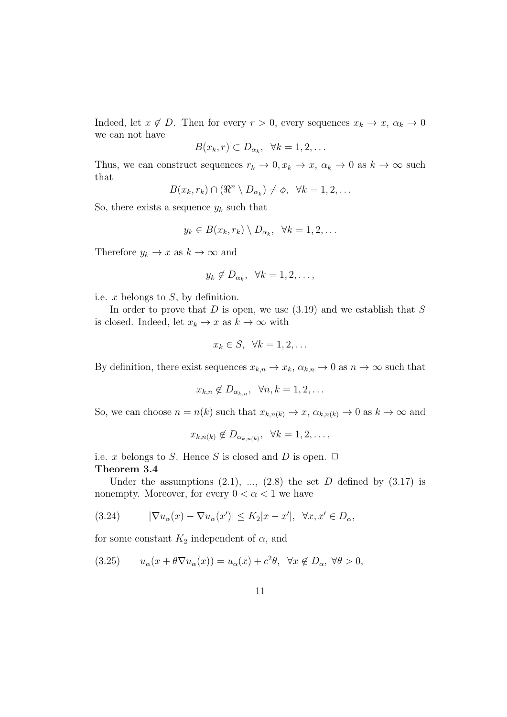Indeed, let  $x \notin D$ . Then for every  $r > 0$ , every sequences  $x_k \to x$ ,  $\alpha_k \to 0$ we can not have

$$
B(x_k, r) \subset D_{\alpha_k}, \ \ \forall k = 1, 2, \ldots
$$

Thus, we can construct sequences  $r_k \to 0, x_k \to x, \alpha_k \to 0$  as  $k \to \infty$  such that

 $B(x_k, r_k) \cap (\Re^n \setminus D_{\alpha_k}) \neq \emptyset, \forall k = 1, 2, \dots$ 

So, there exists a sequence  $y_k$  such that

$$
y_k \in B(x_k, r_k) \setminus D_{\alpha_k}, \ \ \forall k = 1, 2, \ldots
$$

Therefore  $y_k \to x$  as  $k \to \infty$  and

$$
y_k \notin D_{\alpha_k}, \ \ \forall k = 1, 2, \dots,
$$

i.e. *x* belongs to *S*, by definition.

In order to prove that *D* is open, we use (3.19) and we establish that *S* is closed. Indeed, let  $x_k \to x$  as  $k \to \infty$  with

$$
x_k \in S, \ \forall k = 1, 2, \dots
$$

By definition, there exist sequences  $x_{k,n} \to x_k$ ,  $\alpha_{k,n} \to 0$  as  $n \to \infty$  such that

$$
x_{k,n} \notin D_{\alpha_{k,n}}, \ \ \forall n,k = 1,2,\ldots
$$

So, we can choose  $n = n(k)$  such that  $x_{k,n(k)} \to x$ ,  $\alpha_{k,n(k)} \to 0$  as  $k \to \infty$  and

$$
x_{k,n(k)} \notin D_{\alpha_{k,n(k)}}, \ \ \forall k=1,2,\ldots,
$$

i.e. *x* belongs to *S*. Hence *S* is closed and *D* is open.  $\Box$ **Theorem 3.4**

Under the assumptions  $(2.1)$ , ...,  $(2.8)$  the set *D* defined by  $(3.17)$  is nonempty. Moreover, for every  $0 < \alpha < 1$  we have

(3.24) 
$$
|\nabla u_{\alpha}(x) - \nabla u_{\alpha}(x')| \le K_2 |x - x'|, \quad \forall x, x' \in D_{\alpha},
$$

for some constant  $K_2$  independent of  $\alpha$ , and

$$
(3.25) \t u_{\alpha}(x + \theta \nabla u_{\alpha}(x)) = u_{\alpha}(x) + c^2 \theta, \quad \forall x \notin D_{\alpha}, \ \forall \theta > 0,
$$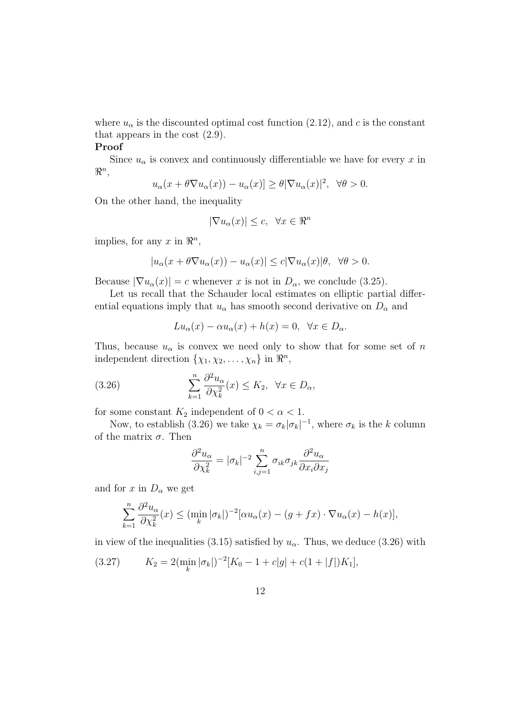where  $u_{\alpha}$  is the discounted optimal cost function (2.12), and *c* is the constant that appears in the cost (2.9).

#### **Proof**

Since  $u_{\alpha}$  is convex and continuously differentiable we have for every  $x$  in *ℜ n* ,

$$
u_{\alpha}(x+\theta\nabla u_{\alpha}(x)) - u_{\alpha}(x)] \geq \theta |\nabla u_{\alpha}(x)|^2, \ \forall \theta > 0.
$$

On the other hand, the inequality

$$
|\nabla u_{\alpha}(x)| \leq c, \ \forall x \in \Re^n
$$

implies, for any  $x$  in  $\mathbb{R}^n$ ,

$$
|u_{\alpha}(x+\theta\nabla u_{\alpha}(x)) - u_{\alpha}(x)| \leq c|\nabla u_{\alpha}(x)|\theta, \ \forall \theta > 0.
$$

Because  $|\nabla u_{\alpha}(x)| = c$  whenever *x* is not in  $D_{\alpha}$ , we conclude (3.25).

Let us recall that the Schauder local estimates on elliptic partial differential equations imply that  $u_{\alpha}$  has smooth second derivative on  $D_{\alpha}$  and

$$
Lu_{\alpha}(x) - \alpha u_{\alpha}(x) + h(x) = 0, \ \forall x \in D_{\alpha}.
$$

Thus, because  $u_{\alpha}$  is convex we need only to show that for some set of *n* independent direction  $\{\chi_1, \chi_2, \ldots, \chi_n\}$  in  $\mathbb{R}^n$ ,

(3.26) 
$$
\sum_{k=1}^{n} \frac{\partial^2 u_{\alpha}}{\partial \chi_k^2}(x) \le K_2, \ \forall x \in D_{\alpha},
$$

for some constant  $K_2$  independent of  $0 < \alpha < 1$ .

Now, to establish (3.26) we take  $\chi_k = \sigma_k |\sigma_k|^{-1}$ , where  $\sigma_k$  is the *k* column of the matrix *σ*. Then

$$
\frac{\partial^2 u_{\alpha}}{\partial \chi_k^2} = |\sigma_k|^{-2} \sum_{i,j=1}^n \sigma_{ik} \sigma_{jk} \frac{\partial^2 u_{\alpha}}{\partial x_i \partial x_j}
$$

and for *x* in  $D_{\alpha}$  we get

$$
\sum_{k=1}^n \frac{\partial^2 u_\alpha}{\partial \chi_k^2}(x) \le (\min_k |\sigma_k|)^{-2} [\alpha u_\alpha(x) - (g + fx) \cdot \nabla u_\alpha(x) - h(x)],
$$

in view of the inequalities (3.15) satisfied by  $u_{\alpha}$ . Thus, we deduce (3.26) with

(3.27) 
$$
K_2 = 2\left(\min_k |\sigma_k|\right)^{-2} [K_0 - 1 + c|g| + c(1 + |f|)K_1],
$$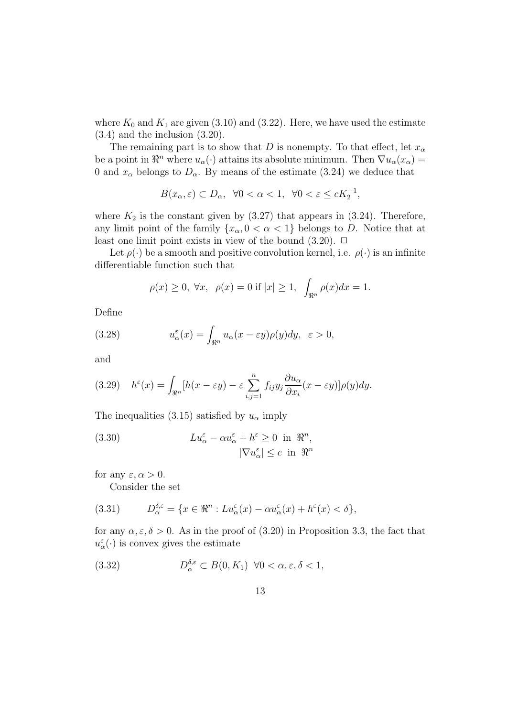where  $K_0$  and  $K_1$  are given (3.10) and (3.22). Here, we have used the estimate (3.4) and the inclusion (3.20).

The remaining part is to show that *D* is nonempty. To that effect, let  $x_\alpha$ be a point in  $\mathbb{R}^n$  where  $u_\alpha(\cdot)$  attains its absolute minimum. Then  $\nabla u_\alpha(x_\alpha)$ 0 and  $x_\alpha$  belongs to  $D_\alpha$ . By means of the estimate (3.24) we deduce that

$$
B(x_{\alpha}, \varepsilon) \subset D_{\alpha}, \ \ \forall 0 < \alpha < 1, \ \ \forall 0 < \varepsilon \le cK_2^{-1},
$$

where  $K_2$  is the constant given by  $(3.27)$  that appears in  $(3.24)$ . Therefore, any limit point of the family  $\{x_\alpha, 0 < \alpha < 1\}$  belongs to *D*. Notice that at least one limit point exists in view of the bound  $(3.20)$ .  $\Box$ 

Let  $\rho(\cdot)$  be a smooth and positive convolution kernel, i.e.  $\rho(\cdot)$  is an infinite differentiable function such that

$$
\rho(x) \ge 0, \ \forall x, \ \rho(x) = 0 \text{ if } |x| \ge 1, \ \int_{\Re^n} \rho(x) dx = 1.
$$

Define

(3.28) 
$$
u_{\alpha}^{\varepsilon}(x) = \int_{\Re^n} u_{\alpha}(x - \varepsilon y) \rho(y) dy, \ \varepsilon > 0,
$$

and

(3.29) 
$$
h^{\varepsilon}(x) = \int_{\Re^n} [h(x - \varepsilon y) - \varepsilon \sum_{i,j=1}^n f_{ij} y_j \frac{\partial u_{\alpha}}{\partial x_i} (x - \varepsilon y)] \rho(y) dy.
$$

The inequalities (3.15) satisfied by  $u_{\alpha}$  imply

(3.30) 
$$
Lu_{\alpha}^{\varepsilon} - \alpha u_{\alpha}^{\varepsilon} + h^{\varepsilon} \ge 0 \text{ in } \mathbb{R}^{n},
$$

$$
|\nabla u_{\alpha}^{\varepsilon}| \le c \text{ in } \mathbb{R}^{n}
$$

for any  $\varepsilon, \alpha > 0$ .

Consider the set

(3.31) 
$$
D_{\alpha}^{\delta,\varepsilon} = \{x \in \Re^n : Lu_{\alpha}^{\varepsilon}(x) - \alpha u_{\alpha}^{\varepsilon}(x) + h^{\varepsilon}(x) < \delta\},
$$

for any  $\alpha, \varepsilon, \delta > 0$ . As in the proof of (3.20) in Proposition 3.3, the fact that  $u^{\varepsilon}_{\alpha}(\cdot)$  is convex gives the estimate

(3.32) 
$$
D_{\alpha}^{\delta,\varepsilon} \subset B(0,K_1) \ \forall 0 < \alpha,\varepsilon,\delta < 1,
$$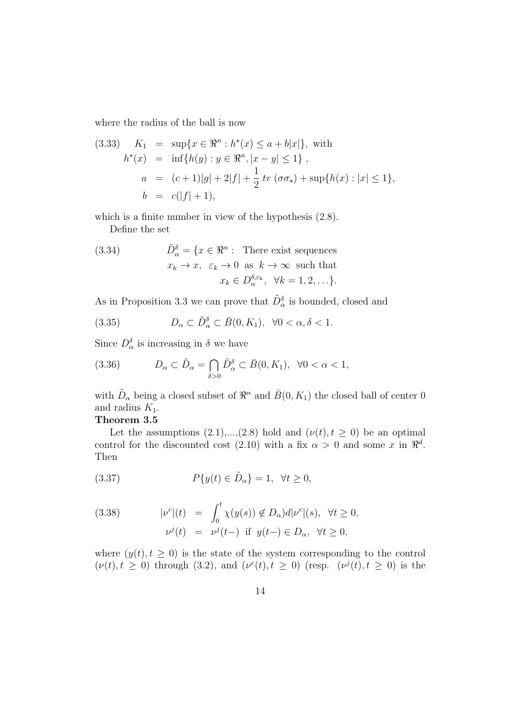where the radius of the ball is now

(3.33) 
$$
K_1 = \sup\{x \in \mathbb{R}^n : h^*(x) \le a + b|x|\}
$$
, with  
\n $h^*(x) = \inf\{h(y) : y \in \mathbb{R}^n, |x - y| \le 1\}$ ,  
\n $a = (c+1)|g| + 2|f| + \frac{1}{2}tr(\sigma\sigma_x) + \sup\{h(x) : |x| \le 1\}$ ,  
\n $b = c(|f| + 1)$ ,

which is a finite number in view of the hypothesis (2.8).

Define the set

(3.34) 
$$
\tilde{D}_{\alpha}^{\delta} = \{x \in \mathbb{R}^{n} : \text{ There exist sequences} \newline x_k \to x, \ \varepsilon_k \to 0 \text{ as } k \to \infty \text{ such that} \newline x_k \in D_{\alpha}^{\delta, \varepsilon_k}, \ \forall k = 1, 2, \ldots \}.
$$

As in Proposition 3.3 we can prove that  $\tilde{D}_{\alpha}^{\delta}$  is bounded, closed and

(3.35) 
$$
D_{\alpha} \subset \tilde{D}_{\alpha}^{\delta} \subset \bar{B}(0, K_1), \ \forall 0 < \alpha, \delta < 1.
$$

Since  $D_{\alpha}^{\delta}$  is increasing in  $\delta$  we have

(3.36) 
$$
D_{\alpha} \subset \tilde{D}_{\alpha} = \bigcap_{\delta > 0} \tilde{D}_{\alpha}^{\delta} \subset \bar{B}(0, K_1), \ \forall 0 < \alpha < 1,
$$

with  $\tilde{D}_{\alpha}$  being a closed subset of  $\mathbb{R}^n$  and  $\bar{B}(0, K_1)$  the closed ball of center 0 and radius  $K_1$ .

#### **Theorem 3.5**

Let the assumptions  $(2.1),..., (2.8)$  hold and  $(\nu(t), t \geq 0)$  be an optimal control for the discounted cost  $(2.10)$  with a fix  $\alpha > 0$  and some x in  $\mathbb{R}^d$ . Then

(3.37) 
$$
P\{y(t) \in \tilde{D}_{\alpha}\} = 1, \ \forall t \ge 0,
$$

(3.38) 
$$
|\nu^{c}|(t) = \int_0^t \chi(y(s)) \notin D_\alpha d|\nu^{c}|(s), \quad \forall t \ge 0,
$$

$$
\nu^{j}(t) = \nu^{j}(t-) \quad \text{if} \quad y(t-) \in D_\alpha, \quad \forall t \ge 0,
$$

where  $(y(t), t \geq 0)$  is the state of the system corresponding to the control  $(\nu(t), t \geq 0)$  through (3.2), and  $(\nu^{c}(t), t \geq 0)$  (resp.  $(\nu^{j}(t), t \geq 0)$  is the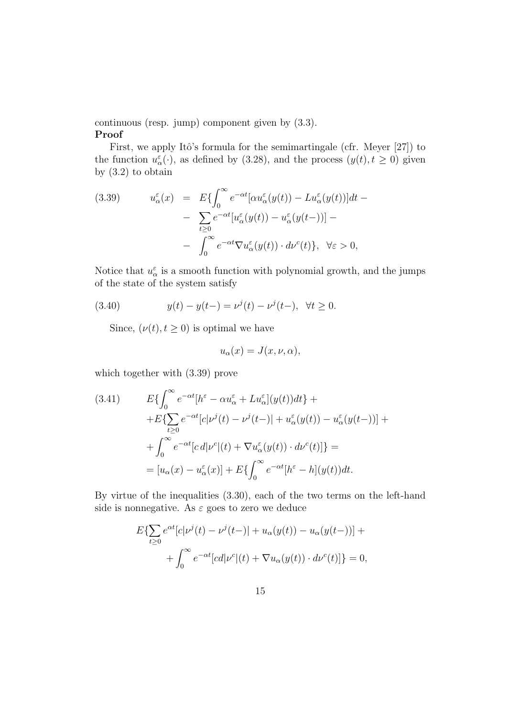#### continuous (resp. jump) component given by (3.3). **Proof**

First, we apply Itô's formula for the semimartingale (cfr. Meyer  $[27]$ ) to the function  $u^{\varepsilon}_{\alpha}(\cdot)$ , as defined by (3.28), and the process  $(y(t), t \ge 0)$  given by  $(3.2)$  to obtain

(3.39) 
$$
u_{\alpha}^{\varepsilon}(x) = E\{\int_0^{\infty} e^{-\alpha t} [\alpha u_{\alpha}^{\varepsilon}(y(t)) - Lu_{\alpha}^{\varepsilon}(y(t))]dt - \sum_{t \ge 0} e^{-\alpha t} [u_{\alpha}^{\varepsilon}(y(t)) - u_{\alpha}^{\varepsilon}(y(t-))] - \int_0^{\infty} e^{-\alpha t} \nabla u_{\alpha}^{\varepsilon}(y(t)) \cdot d\nu^c(t)\}, \ \forall \varepsilon > 0,
$$

Notice that  $u^{\varepsilon}_{\alpha}$  is a smooth function with polynomial growth, and the jumps of the state of the system satisfy

(3.40) 
$$
y(t) - y(t-) = \nu^{j}(t) - \nu^{j}(t-), \ \forall t \geq 0.
$$

Since,  $(\nu(t), t \geq 0)$  is optimal we have

$$
u_{\alpha}(x) = J(x, \nu, \alpha),
$$

which together with (3.39) prove

(3.41) 
$$
E\left\{\int_0^\infty e^{-\alpha t} [h^\varepsilon - \alpha u_\alpha^\varepsilon + Lu_\alpha^\varepsilon](y(t))dt\right\} +
$$

$$
+ E\left\{\sum_{t\geq 0} e^{-\alpha t} [c|\nu^j(t) - \nu^j(t-)| + u_\alpha^\varepsilon(y(t)) - u_\alpha^\varepsilon(y(t-))] +
$$

$$
+ \int_0^\infty e^{-\alpha t} [c \, d|\nu^c|(t) + \nabla u_\alpha^\varepsilon(y(t)) \cdot d\nu^c(t)]\right\} =
$$

$$
= [u_\alpha(x) - u_\alpha^\varepsilon(x)] + E\left\{\int_0^\infty e^{-\alpha t} [h^\varepsilon - h](y(t))dt\right\}.
$$

By virtue of the inequalities (3.30), each of the two terms on the left-hand side is nonnegative. As  $\varepsilon$  goes to zero we deduce

$$
E\{\sum_{t\geq 0} e^{\alpha t} [c|\nu^{j}(t) - \nu^{j}(t-)| + u_{\alpha}(y(t)) - u_{\alpha}(y(t-))] + \int_{0}^{\infty} e^{-\alpha t} [cd|\nu^{c}|(t) + \nabla u_{\alpha}(y(t)) \cdot d\nu^{c}(t)]\} = 0,
$$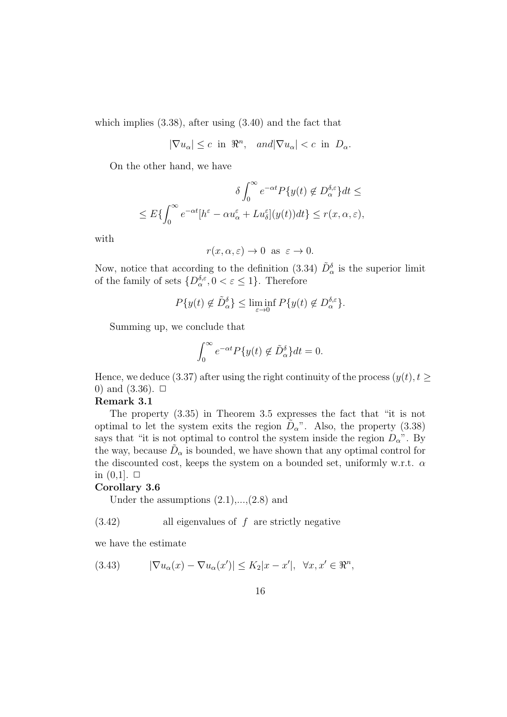which implies (3.38), after using (3.40) and the fact that

$$
|\nabla u_{\alpha}| \leq c \text{ in } \mathbb{R}^n, \quad \text{and} |\nabla u_{\alpha}| < c \text{ in } D_{\alpha}.
$$

On the other hand, we have

$$
\delta \int_0^\infty e^{-\alpha t} P\{y(t) \notin D_\alpha^{\delta,\varepsilon}\} dt \le
$$
  

$$
\leq E\{\int_0^\infty e^{-\alpha t} [h^\varepsilon - \alpha u_\alpha^\varepsilon + L u_\delta^\varepsilon](y(t)) dt\} \leq r(x, \alpha, \varepsilon),
$$

with

$$
r(x, \alpha, \varepsilon) \to 0 \text{ as } \varepsilon \to 0.
$$

Now, notice that according to the definition (3.34)  $\tilde{D}^{\delta}_{\alpha}$  is the superior limit of the family of sets  $\{D_{\alpha}^{\delta,\varepsilon}, 0 < \varepsilon \leq 1\}$ . Therefore

$$
P\{y(t) \notin \tilde{D}_{\alpha}^{\delta}\} \le \liminf_{\varepsilon \to 0} P\{y(t) \notin D_{\alpha}^{\delta,\varepsilon}\}.
$$

Summing up, we conclude that

$$
\int_0^\infty e^{-\alpha t} P\{y(t) \notin \tilde{D}_\alpha^\delta\} dt = 0.
$$

Hence, we deduce (3.37) after using the right continuity of the process  $(y(t), t \geq 0)$ 0) and  $(3.36)$ .  $\Box$ 

#### **Remark 3.1**

The property (3.35) in Theorem 3.5 expresses the fact that "it is not optimal to let the system exits the region  $D_{\alpha}$ ". Also, the property (3.38) says that "it is not optimal to control the system inside the region  $D_{\alpha}$ ". By the way, because  $\tilde{D}_{\alpha}$  is bounded, we have shown that any optimal control for the discounted cost, keeps the system on a bounded set, uniformly w.r.t. *α* in  $(0,1]$ .  $\Box$ 

#### **Corollary 3.6**

Under the assumptions  $(2.1),..., (2.8)$  and

#### (3.42) all eigenvalues of *f* are strictly negative

we have the estimate

(3.43) 
$$
|\nabla u_{\alpha}(x) - \nabla u_{\alpha}(x')| \le K_2 |x - x'|, \quad \forall x, x' \in \mathbb{R}^n,
$$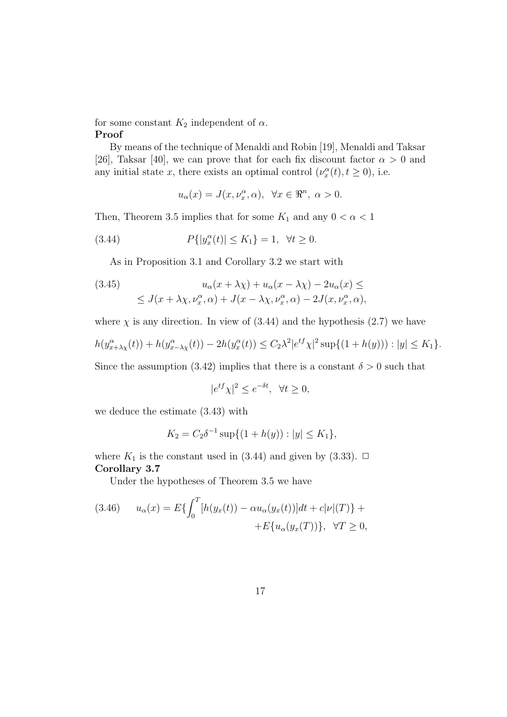#### for some constant  $K_2$  independent of  $\alpha$ . **Proof**

By means of the technique of Menaldi and Robin [19], Menaldi and Taksar [26], Taksar [40], we can prove that for each fix discount factor  $\alpha > 0$  and any initial state *x*, there exists an optimal control  $(\nu_x^{\alpha}(t), t \ge 0)$ , i.e.

$$
u_{\alpha}(x) = J(x, \nu_{x}^{\alpha}, \alpha), \ \forall x \in \Re^{n}, \ \alpha > 0.
$$

Then, Theorem 3.5 implies that for some  $K_1$  and any  $0 < \alpha < 1$ 

(3.44) 
$$
P\{|y_x^{\alpha}(t)| \le K_1\} = 1, \ \forall t \ge 0.
$$

As in Proposition 3.1 and Corollary 3.2 we start with

(3.45)  

$$
u_{\alpha}(x + \lambda \chi) + u_{\alpha}(x - \lambda \chi) - 2u_{\alpha}(x) \le
$$

$$
\le J(x + \lambda \chi, \nu_x^{\alpha}, \alpha) + J(x - \lambda \chi, \nu_x^{\alpha}, \alpha) - 2J(x, \nu_x^{\alpha}, \alpha),
$$

where  $\chi$  is any direction. In view of (3.44) and the hypothesis (2.7) we have

$$
h(y_{x+\lambda\chi}^{\alpha}(t)) + h(y_{x-\lambda\chi}^{\alpha}(t)) - 2h(y_{x}^{\alpha}(t)) \le C_{2}\lambda^{2}|e^{tf}\chi|^{2}\sup\{(1+h(y)) : |y| \le K_{1}\}.
$$

Since the assumption (3.42) implies that there is a constant  $\delta > 0$  such that

$$
|e^{tf}\chi|^2 \le e^{-\delta t}, \ \ \forall t \ge 0,
$$

we deduce the estimate (3.43) with

$$
K_2 = C_2 \delta^{-1} \sup \{ (1 + h(y)) : |y| \le K_1 \},\
$$

where  $K_1$  is the constant used in (3.44) and given by (3.33).  $\Box$ **Corollary 3.7**

Under the hypotheses of Theorem 3.5 we have

(3.46) 
$$
u_{\alpha}(x) = E\{\int_0^T [h(y_x(t)) - \alpha u_{\alpha}(y_x(t))]dt + c|\nu|(T)\} + E\{u_{\alpha}(y_x(T))\}, \quad \forall T \ge 0,
$$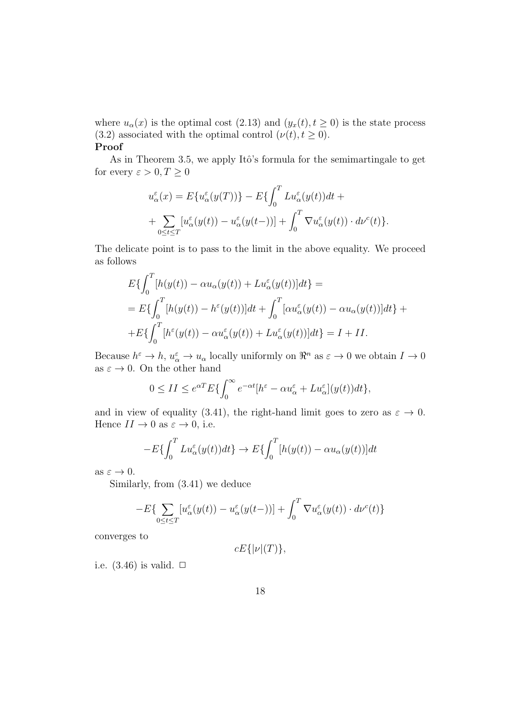where  $u_{\alpha}(x)$  is the optimal cost (2.13) and  $(y_x(t), t \ge 0)$  is the state process (3.2) associated with the optimal control  $(\nu(t), t \ge 0)$ .

**Proof**

As in Theorem 3.5, we apply Itô's formula for the semimartingale to get for every  $\varepsilon > 0, T \geq 0$ 

$$
u_{\alpha}^{\varepsilon}(x) = E\{u_{\alpha}^{\varepsilon}(y(T))\} - E\{\int_{0}^{T} Lu_{\alpha}^{\varepsilon}(y(t))dt ++ \sum_{0 \le t \le T} [u_{\alpha}^{\varepsilon}(y(t)) - u_{\alpha}^{\varepsilon}(y(t-))] + \int_{0}^{T} \nabla u_{\alpha}^{\varepsilon}(y(t)) \cdot d\nu^{c}(t)\}.
$$

The delicate point is to pass to the limit in the above equality. We proceed as follows

$$
E\{\int_0^T [h(y(t)) - \alpha u_{\alpha}(y(t)) + Lu_{\alpha}^{\varepsilon}(y(t))]dt\} =
$$
  
= 
$$
E\{\int_0^T [h(y(t)) - h^{\varepsilon}(y(t))]dt + \int_0^T [\alpha u_{\alpha}^{\varepsilon}(y(t)) - \alpha u_{\alpha}(y(t))]dt\} +
$$
  
+ 
$$
E\{\int_0^T [h^{\varepsilon}(y(t)) - \alpha u_{\alpha}^{\varepsilon}(y(t)) + Lu_{\alpha}^{\varepsilon}(y(t))]dt\} = I + II.
$$

Because  $h^{\varepsilon} \to h$ ,  $u^{\varepsilon}_{\alpha} \to u_{\alpha}$  locally uniformly on  $\Re^n$  as  $\varepsilon \to 0$  we obtain  $I \to 0$ as  $\varepsilon \to 0$ . On the other hand

$$
0 \le II \le e^{\alpha T} E\{\int_0^\infty e^{-\alpha t} [h^\varepsilon - \alpha u_\alpha^\varepsilon + L u_\alpha^\varepsilon](y(t)) dt\},\
$$

and in view of equality (3.41), the right-hand limit goes to zero as  $\varepsilon \to 0$ . Hence  $II \to 0$  as  $\varepsilon \to 0$ , i.e.

$$
-E\{\int_0^T Lu_\alpha^\varepsilon(y(t))dt\} \to E\{\int_0^T [h(y(t)) - \alpha u_\alpha(y(t))]dt
$$

as  $\varepsilon \to 0$ .

Similarly, from (3.41) we deduce

$$
-E\{\sum_{0\leq t\leq T}[u_{\alpha}^{\varepsilon}(y(t))-u_{\alpha}^{\varepsilon}(y(t-))] + \int_{0}^{T}\nabla u_{\alpha}^{\varepsilon}(y(t))\cdot d\nu^{c}(t)\}
$$

converges to

$$
cE\{|\nu|(T)\},\
$$

i.e.  $(3.46)$  is valid.  $\Box$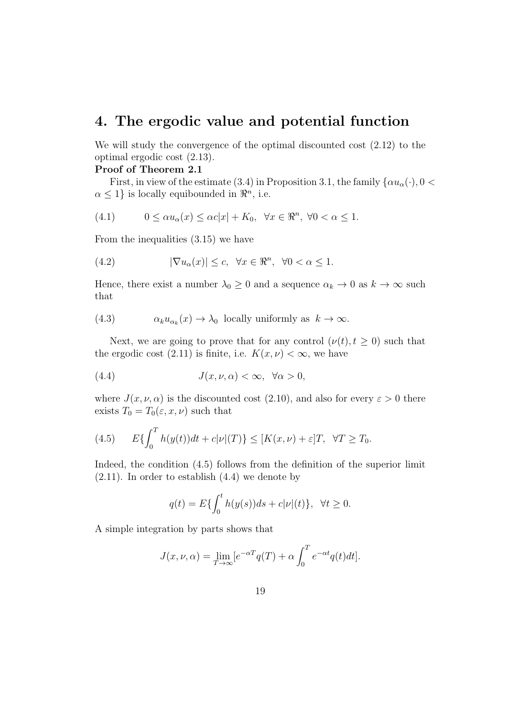## **4. The ergodic value and potential function**

We will study the convergence of the optimal discounted cost (2.12) to the optimal ergodic cost (2.13).

#### **Proof of Theorem 2.1**

First, in view of the estimate (3.4) in Proposition 3.1, the family  $\{\alpha u_{\alpha}(\cdot), 0 < \alpha\}$  $\alpha \leq 1$ } is locally equibounded in  $\Re^n$ , i.e.

(4.1) 
$$
0 \le \alpha u_{\alpha}(x) \le \alpha c|x| + K_0, \quad \forall x \in \mathbb{R}^n, \ \forall 0 < \alpha \le 1.
$$

From the inequalities (3.15) we have

(4.2) 
$$
|\nabla u_{\alpha}(x)| \leq c, \quad \forall x \in \mathbb{R}^{n}, \quad \forall 0 < \alpha \leq 1.
$$

Hence, there exist a number  $\lambda_0 \geq 0$  and a sequence  $\alpha_k \to 0$  as  $k \to \infty$  such that

(4.3) 
$$
\alpha_k u_{\alpha_k}(x) \to \lambda_0 \text{ locally uniformly as } k \to \infty.
$$

Next, we are going to prove that for any control  $(\nu(t), t \geq 0)$  such that the ergodic cost (2.11) is finite, i.e.  $K(x, \nu) < \infty$ , we have

(4.4) 
$$
J(x,\nu,\alpha)<\infty, \ \forall \alpha>0,
$$

where  $J(x, \nu, \alpha)$  is the discounted cost (2.10), and also for every  $\varepsilon > 0$  there exists  $T_0 = T_0(\varepsilon, x, \nu)$  such that

(4.5) 
$$
E\{\int_0^T h(y(t))dt + c|\nu|(T)\} \leq [K(x,\nu) + \varepsilon]T, \quad \forall T \geq T_0.
$$

Indeed, the condition (4.5) follows from the definition of the superior limit  $(2.11)$ . In order to establish  $(4.4)$  we denote by

$$
q(t) = E\{\int_0^t h(y(s))ds + c|\nu|(t)\}, \ \ \forall t \ge 0.
$$

A simple integration by parts shows that

$$
J(x, \nu, \alpha) = \lim_{T \to \infty} \left[e^{-\alpha T} q(T) + \alpha \int_0^T e^{-\alpha t} q(t) dt\right].
$$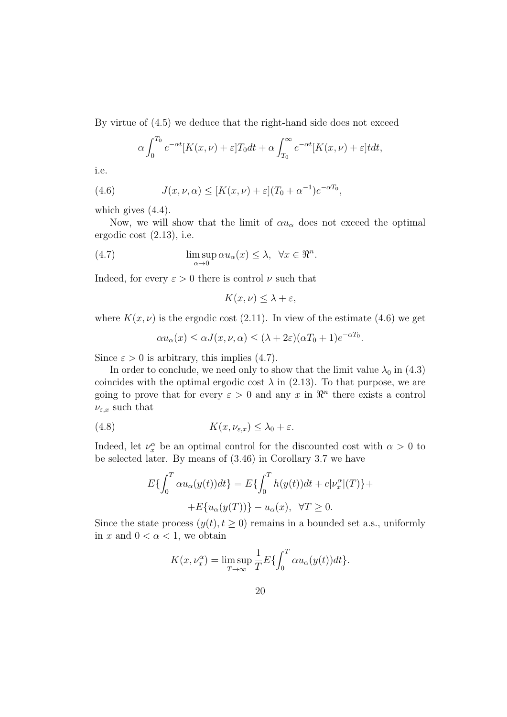By virtue of (4.5) we deduce that the right-hand side does not exceed

$$
\alpha \int_0^{T_0} e^{-\alpha t} [K(x,\nu) + \varepsilon] T_0 dt + \alpha \int_{T_0}^{\infty} e^{-\alpha t} [K(x,\nu) + \varepsilon] t dt,
$$

i.e.

(4.6) 
$$
J(x,\nu,\alpha) \leq [K(x,\nu) + \varepsilon](T_0 + \alpha^{-1})e^{-\alpha T_0},
$$

which gives  $(4.4)$ .

Now, we will show that the limit of  $\alpha u_{\alpha}$  does not exceed the optimal ergodic cost (2.13), i.e.

(4.7) 
$$
\limsup_{\alpha \to 0} \alpha u_{\alpha}(x) \leq \lambda, \quad \forall x \in \mathbb{R}^n.
$$

Indeed, for every  $\varepsilon > 0$  there is control  $\nu$  such that

$$
K(x,\nu)\leq \lambda+\varepsilon,
$$

where  $K(x, \nu)$  is the ergodic cost (2.11). In view of the estimate (4.6) we get

$$
\alpha u_{\alpha}(x) \leq \alpha J(x, \nu, \alpha) \leq (\lambda + 2\varepsilon)(\alpha T_0 + 1)e^{-\alpha T_0}.
$$

Since  $\varepsilon > 0$  is arbitrary, this implies (4.7).

In order to conclude, we need only to show that the limit value  $\lambda_0$  in (4.3) coincides with the optimal ergodic cost  $\lambda$  in (2.13). To that purpose, we are going to prove that for every  $\varepsilon > 0$  and any  $x$  in  $\mathbb{R}^n$  there exists a control  $\nu_{\varepsilon,x}$  such that

(4.8) 
$$
K(x,\nu_{\varepsilon,x}) \leq \lambda_0 + \varepsilon.
$$

Indeed, let  $\nu_x^{\alpha}$  be an optimal control for the discounted cost with  $\alpha > 0$  to be selected later. By means of (3.46) in Corollary 3.7 we have

$$
E\{\int_0^T \alpha u_\alpha(y(t))dt\} = E\{\int_0^T h(y(t))dt + c|\nu_x^\alpha|(T)\} +
$$
  
+
$$
E\{u_\alpha(y(T))\} - u_\alpha(x), \quad \forall T \ge 0.
$$

Since the state process  $(y(t), t \geq 0)$  remains in a bounded set a.s., uniformly in *x* and  $0 < \alpha < 1$ , we obtain

$$
K(x,\nu_x^{\alpha}) = \limsup_{T \to \infty} \frac{1}{T} E\{\int_0^T \alpha u_{\alpha}(y(t))dt\}.
$$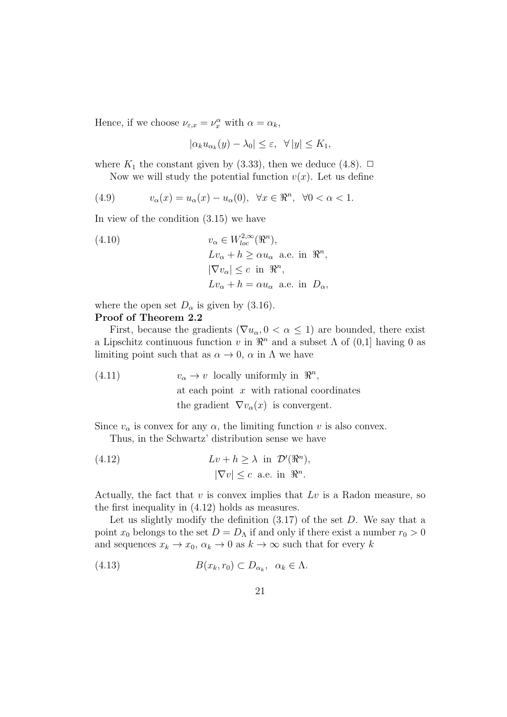Hence, if we choose  $\nu_{\varepsilon,x} = \nu_x^{\alpha}$  with  $\alpha = \alpha_k$ ,

$$
|\alpha_k u_{\alpha_k}(y) - \lambda_0| \le \varepsilon, \ \ \forall \, |y| \le K_1,
$$

where  $K_1$  the constant given by (3.33), then we deduce (4.8).  $\Box$ 

Now we will study the potential function  $v(x)$ . Let us define

(4.9) 
$$
v_{\alpha}(x) = u_{\alpha}(x) - u_{\alpha}(0), \ \forall x \in \mathbb{R}^n, \ \forall 0 < \alpha < 1.
$$

In view of the condition (3.15) we have

(4.10) 
$$
v_{\alpha} \in W_{loc}^{2,\infty}(\mathfrak{R}^n),
$$

$$
Lv_{\alpha} + h \ge \alpha u_{\alpha} \text{ a.e. in } \mathfrak{R}^n,
$$

$$
|\nabla v_{\alpha}| \le c \text{ in } \mathfrak{R}^n,
$$

$$
Lv_{\alpha} + h = \alpha u_{\alpha} \text{ a.e. in } D_{\alpha},
$$

where the open set  $D_{\alpha}$  is given by (3.16).

#### **Proof of Theorem 2.2**

First, because the gradients ( $\nabla u_{\alpha}, 0 < \alpha \leq 1$ ) are bounded, there exist a Lipschitz continuous function *v* in  $\mathbb{R}^n$  and a subset  $\Lambda$  of  $(0,1]$  having 0 as limiting point such that as  $\alpha \to 0$ ,  $\alpha$  in  $\Lambda$  we have

(4.11) 
$$
v_{\alpha} \to v \text{ locally uniformly in } \mathbb{R}^n,
$$
 at each point  $x$  with rational coordinates  
the gradient  $\nabla v_{\alpha}(x)$  is convergent.

Since  $v_{\alpha}$  is convex for any  $\alpha$ , the limiting function *v* is also convex.

Thus, in the Schwartz' distribution sense we have

(4.12) 
$$
Lv + h \ge \lambda \text{ in } \mathcal{D}'(\mathbb{R}^n),
$$

$$
|\nabla v| \le c \text{ a.e. in } \mathbb{R}^n.
$$

Actually, the fact that *v* is convex implies that *Lv* is a Radon measure, so the first inequality in (4.12) holds as measures.

Let us slightly modify the definition (3.17) of the set *D*. We say that a point  $x_0$  belongs to the set  $D = D_\Lambda$  if and only if there exist a number  $r_0 > 0$ and sequences  $x_k \to x_0$ ,  $\alpha_k \to 0$  as  $k \to \infty$  such that for every *k* 

(4.13) 
$$
B(x_k, r_0) \subset D_{\alpha_k}, \ \alpha_k \in \Lambda.
$$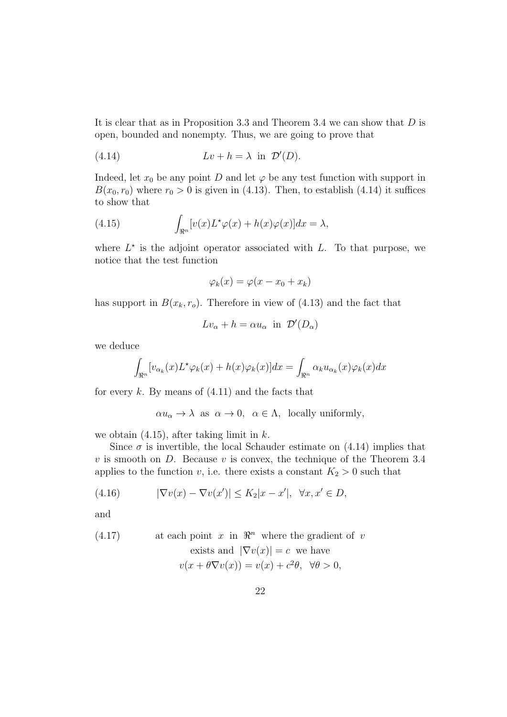It is clear that as in Proposition 3.3 and Theorem 3.4 we can show that *D* is open, bounded and nonempty. Thus, we are going to prove that

(4.14) 
$$
Lv + h = \lambda \text{ in } \mathcal{D}'(D).
$$

Indeed, let  $x_0$  be any point *D* and let  $\varphi$  be any test function with support in  $B(x_0, r_0)$  where  $r_0 > 0$  is given in (4.13). Then, to establish (4.14) it suffices to show that

(4.15) 
$$
\int_{\Re^n} [v(x)L^{\star}\varphi(x) + h(x)\varphi(x)]dx = \lambda,
$$

where  $L^*$  is the adjoint operator associated with  $L$ . To that purpose, we notice that the test function

$$
\varphi_k(x) = \varphi(x - x_0 + x_k)
$$

has support in  $B(x_k, r_o)$ . Therefore in view of (4.13) and the fact that

$$
Lv_{\alpha} + h = \alpha u_{\alpha} \text{ in } \mathcal{D}'(D_{\alpha})
$$

we deduce

$$
\int_{\Re^n} [v_{\alpha_k}(x)L^* \varphi_k(x) + h(x)\varphi_k(x)] dx = \int_{\Re^n} \alpha_k u_{\alpha_k}(x)\varphi_k(x) dx
$$

for every *k*. By means of (4.11) and the facts that

 $\alpha u_{\alpha} \to \lambda$  as  $\alpha \to 0$ ,  $\alpha \in \Lambda$ , locally uniformly,

we obtain (4.15), after taking limit in *k*.

Since  $\sigma$  is invertible, the local Schauder estimate on  $(4.14)$  implies that *v* is smooth on *D*. Because *v* is convex, the technique of the Theorem 3.4 applies to the function *v*, i.e. there exists a constant  $K_2 > 0$  such that

(4.16) 
$$
|\nabla v(x) - \nabla v(x')| \le K_2 |x - x'|, \quad \forall x, x' \in D,
$$

and

(4.17) at each point 
$$
x
$$
 in  $\mathbb{R}^n$  where the gradient of  $v$ 

exists and 
$$
|\nabla v(x)| = c
$$
 we have  
 $v(x + \theta \nabla v(x)) = v(x) + c^2 \theta, \ \forall \theta > 0,$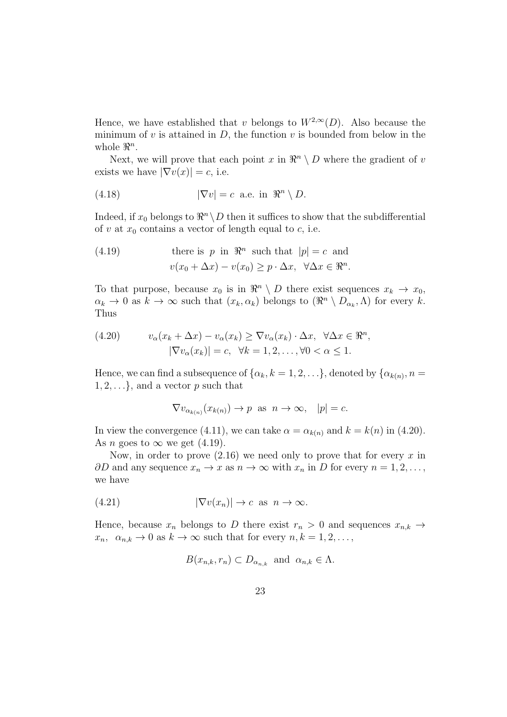Hence, we have established that *v* belongs to  $W^{2,\infty}(D)$ . Also because the minimum of  $v$  is attained in  $D$ , the function  $v$  is bounded from below in the whole  $\mathbb{R}^n$ .

Next, we will prove that each point  $x$  in  $\mathbb{R}^n \setminus D$  where the gradient of  $v$ exists we have  $|\nabla v(x)| = c$ , i.e.

(4.18) 
$$
|\nabla v| = c \text{ a.e. in } \Re^n \setminus D.
$$

Indeed, if  $x_0$  belongs to  $\Re^n \setminus D$  then it suffices to show that the subdifferential of  $v$  at  $x_0$  contains a vector of length equal to  $c$ , i.e.

(4.19) there is 
$$
p
$$
 in  $\mathbb{R}^n$  such that  $|p| = c$  and  
\n
$$
v(x_0 + \Delta x) - v(x_0) \ge p \cdot \Delta x, \quad \forall \Delta x \in \mathbb{R}^n.
$$

To that purpose, because  $x_0$  is in  $\mathbb{R}^n \setminus D$  there exist sequences  $x_k \to x_0$ ,  $\alpha_k \to 0$  as  $k \to \infty$  such that  $(x_k, \alpha_k)$  belongs to  $(\Re^n \setminus D_{\alpha_k}, \Lambda)$  for every *k*. Thus

(4.20) 
$$
v_{\alpha}(x_k + \Delta x) - v_{\alpha}(x_k) \geq \nabla v_{\alpha}(x_k) \cdot \Delta x, \quad \forall \Delta x \in \mathbb{R}^n, |\nabla v_{\alpha}(x_k)| = c, \quad \forall k = 1, 2, ..., \forall 0 < \alpha \leq 1.
$$

Hence, we can find a subsequence of  $\{\alpha_k, k = 1, 2, \ldots\}$ , denoted by  $\{\alpha_{k(n)}, n =$  $1, 2, \ldots$ }, and a vector *p* such that

$$
\nabla v_{\alpha_{k(n)}}(x_{k(n)}) \to p \text{ as } n \to \infty, \quad |p| = c.
$$

In view the convergence (4.11), we can take  $\alpha = \alpha_{k(n)}$  and  $k = k(n)$  in (4.20). As *n* goes to  $\infty$  we get (4.19).

Now, in order to prove (2.16) we need only to prove that for every *x* in  $\partial D$  and any sequence  $x_n \to x$  as  $n \to \infty$  with  $x_n$  in  $D$  for every  $n = 1, 2, \ldots$ , we have

$$
(4.21) \t |\nabla v(x_n)| \to c \text{ as } n \to \infty.
$$

Hence, because  $x_n$  belongs to *D* there exist  $r_n > 0$  and sequences  $x_{n,k} \rightarrow$  $x_n, \alpha_{n,k} \to 0$  as  $k \to \infty$  such that for every  $n, k = 1, 2, \ldots$ ,

$$
B(x_{n,k}, r_n) \subset D_{\alpha_{n,k}} \text{ and } \alpha_{n,k} \in \Lambda.
$$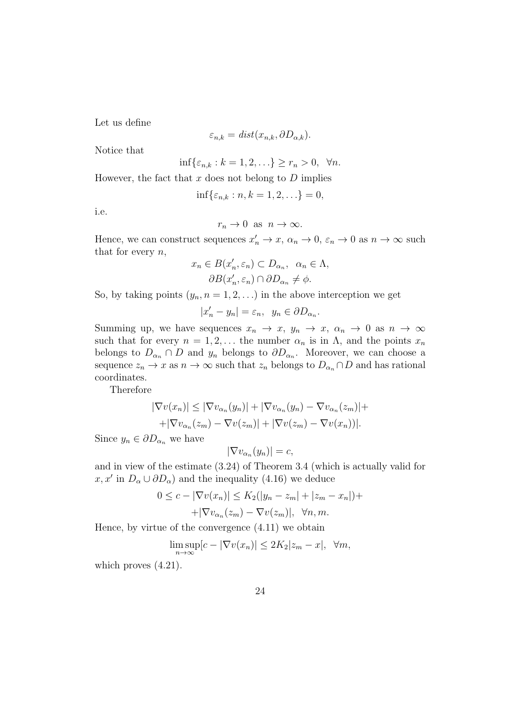Let us define

$$
\varepsilon_{n,k} = dist(x_{n,k}, \partial D_{\alpha,k}).
$$

Notice that

$$
\inf\{\varepsilon_{n,k}:k=1,2,\ldots\}\geq r_n>0,\ \forall n.
$$

However, the fact that *x* does not belong to *D* implies

$$
\inf\{\varepsilon_{n,k} : n, k = 1, 2, \ldots\} = 0,
$$

i.e.

$$
r_n \to 0 \text{ as } n \to \infty.
$$

Hence, we can construct sequences  $x'_n \to x$ ,  $\alpha_n \to 0$ ,  $\varepsilon_n \to 0$  as  $n \to \infty$  such that for every *n*,

$$
x_n \in B(x'_n, \varepsilon_n) \subset D_{\alpha_n}, \ \alpha_n \in \Lambda,
$$

$$
\partial B(x'_n, \varepsilon_n) \cap \partial D_{\alpha_n} \neq \phi.
$$

So, by taking points  $(y_n, n = 1, 2, \ldots)$  in the above interception we get

$$
|x'_n - y_n| = \varepsilon_n, \ \ y_n \in \partial D_{\alpha_n}.
$$

Summing up, we have sequences  $x_n \to x$ ,  $y_n \to x$ ,  $\alpha_n \to 0$  as  $n \to \infty$ such that for every  $n = 1, 2, \ldots$  the number  $\alpha_n$  is in  $\Lambda$ , and the points  $x_n$ belongs to  $D_{\alpha_n} \cap D$  and  $y_n$  belongs to  $\partial D_{\alpha_n}$ . Moreover, we can choose a sequence  $z_n \to x$  as  $n \to \infty$  such that  $z_n$  belongs to  $D_{\alpha_n} \cap D$  and has rational coordinates.

Therefore

$$
|\nabla v(x_n)| \le |\nabla v_{\alpha_n}(y_n)| + |\nabla v_{\alpha_n}(y_n) - \nabla v_{\alpha_n}(z_m)| +
$$
  
+|\nabla v\_{\alpha\_n}(z\_m) - \nabla v(z\_m)| + |\nabla v(z\_m) - \nabla v(x\_n)|.

Since  $y_n \in \partial D_{\alpha_n}$  we have

$$
|\nabla v_{\alpha_n}(y_n)| = c,
$$

and in view of the estimate (3.24) of Theorem 3.4 (which is actually valid for *x*, *x'* in  $D_{\alpha} \cup \partial D_{\alpha}$  and the inequality (4.16) we deduce

$$
0 \le c - |\nabla v(x_n)| \le K_2(|y_n - z_m| + |z_m - x_n|) +
$$
  
+|\nabla v\_{\alpha\_n}(z\_m) - \nabla v(z\_m)|, \forall n, m.

Hence, by virtue of the convergence (4.11) we obtain

$$
\limsup_{n \to \infty} [c - |\nabla v(x_n)| \le 2K_2 |z_m - x|, \ \forall m,
$$

which proves  $(4.21)$ .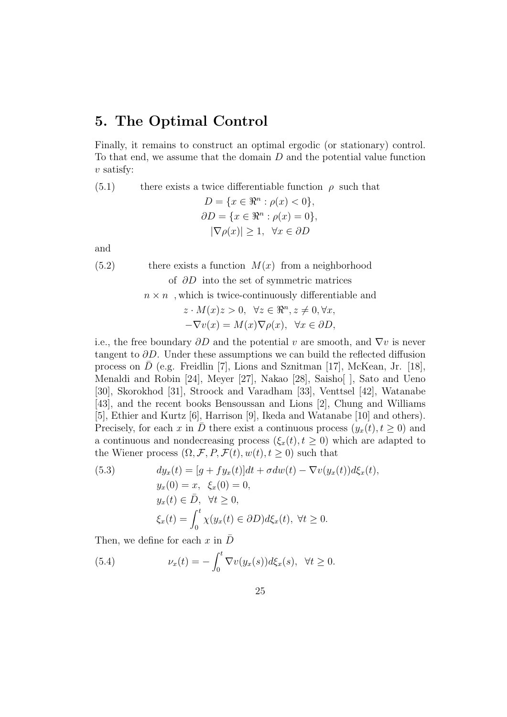## **5. The Optimal Control**

Finally, it remains to construct an optimal ergodic (or stationary) control. To that end, we assume that the domain *D* and the potential value function *v* satisfy:

(5.1) there exists a twice differentiable function  $\rho$  such that

$$
D = \{x \in \mathbb{R}^n : \rho(x) < 0\},
$$
\n
$$
\partial D = \{x \in \mathbb{R}^n : \rho(x) = 0\},
$$
\n
$$
|\nabla \rho(x)| \ge 1, \quad \forall x \in \partial D
$$

and

 $(5.2)$  there exists a function  $M(x)$  from a neighborhood of *∂D* into the set of symmetric matrices

$$
n \times n \,
$$
, which is twice-continuously differentiable and

$$
z \cdot M(x)z > 0, \quad \forall z \in \mathbb{R}^n, z \neq 0, \forall x, -\nabla v(x) = M(x)\nabla \rho(x), \quad \forall x \in \partial D,
$$

i.e., the free boundary *∂D* and the potential *v* are smooth, and *∇v* is never tangent to *∂D*. Under these assumptions we can build the reflected diffusion process on  $\bar{D}$  (e.g. Freidlin [7], Lions and Sznitman [17], McKean, Jr. [18], Menaldi and Robin [24], Meyer [27], Nakao [28], Saisho[ ], Sato and Ueno [30], Skorokhod [31], Stroock and Varadham [33], Venttsel [42], Watanabe [43], and the recent books Bensoussan and Lions [2], Chung and Williams [5], Ethier and Kurtz [6], Harrison [9], Ikeda and Watanabe [10] and others). Precisely, for each *x* in *D* there exist a continuous process  $(y_x(t), t \ge 0)$  and a continuous and nondecreasing process  $(\xi_x(t), t \geq 0)$  which are adapted to the Wiener process  $(\Omega, \mathcal{F}, P, \mathcal{F}(t), w(t), t \geq 0)$  such that

(5.3) 
$$
dy_x(t) = [g + fy_x(t)]dt + \sigma dw(t) - \nabla v(y_x(t))d\xi_x(t),
$$

$$
y_x(0) = x, \xi_x(0) = 0,
$$

$$
y_x(t) \in \overline{D}, \quad \forall t \ge 0,
$$

$$
\xi_x(t) = \int_0^t \chi(y_x(t) \in \partial D) d\xi_x(t), \quad \forall t \ge 0.
$$

Then, we define for each x in  $\bar{D}$ 

(5.4) 
$$
\nu_x(t) = -\int_0^t \nabla v(y_x(s))d\xi_x(s), \quad \forall t \ge 0.
$$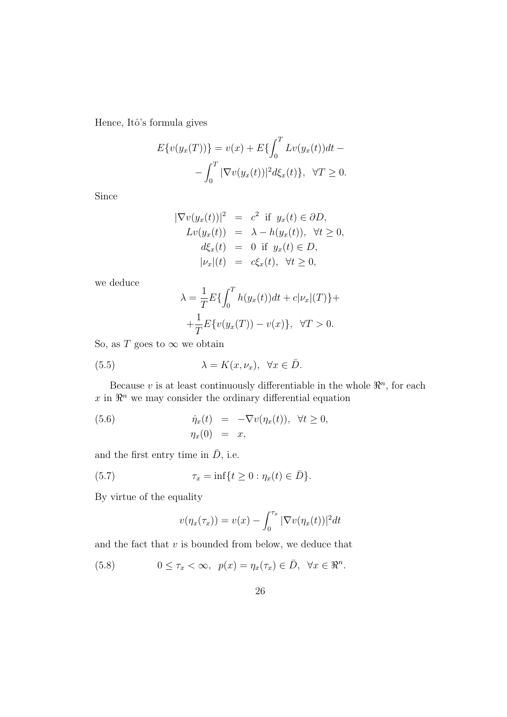Hence, Itô's formula gives

$$
E\{v(y_x(T))\} = v(x) + E\{\int_0^T Lv(y_x(t))dt - \int_0^T |\nabla v(y_x(t))|^2 d\xi_x(t)\}, \quad \forall T \ge 0.
$$

Since

$$
|\nabla v(y_x(t))|^2 = c^2 \text{ if } y_x(t) \in \partial D,
$$
  
\n
$$
Lv(y_x(t)) = \lambda - h(y_x(t)), \forall t \ge 0,
$$
  
\n
$$
d\xi_x(t) = 0 \text{ if } y_x(t) \in D,
$$
  
\n
$$
|\nu_x|(t) = c\xi_x(t), \forall t \ge 0,
$$

we deduce

$$
\lambda = \frac{1}{T} E\{ \int_0^T h(y_x(t)) dt + c|\nu_x|(T) \} +
$$
  
+ 
$$
\frac{1}{T} E\{ v(y_x(T)) - v(x) \}, \quad \forall T > 0.
$$

So, as *T* goes to  $\infty$  we obtain

(5.5) 
$$
\lambda = K(x, \nu_x), \quad \forall x \in \bar{D}.
$$

Because *v* is at least continuously differentiable in the whole  $\mathbb{R}^n$ , for each  $x$  in  $\mathbb{R}^n$  we may consider the ordinary differential equation

(5.6) 
$$
\dot{\eta}_x(t) = -\nabla v(\eta_x(t)), \quad \forall t \ge 0, \eta_x(0) = x,
$$

and the first entry time in  $\bar{D}$ , i.e.

(5.7) 
$$
\tau_x = \inf\{t \ge 0 : \eta_x(t) \in \bar{D}\}.
$$

By virtue of the equality

$$
v(\eta_x(\tau_x)) = v(x) - \int_0^{\tau_x} |\nabla v(\eta_x(t))|^2 dt
$$

and the fact that *v* is bounded from below, we deduce that

(5.8)  $0 \leq \tau_x < \infty$ ,  $p(x) = \eta_x(\tau_x) \in \overline{D}$ ,  $\forall x \in \mathbb{R}^n$ .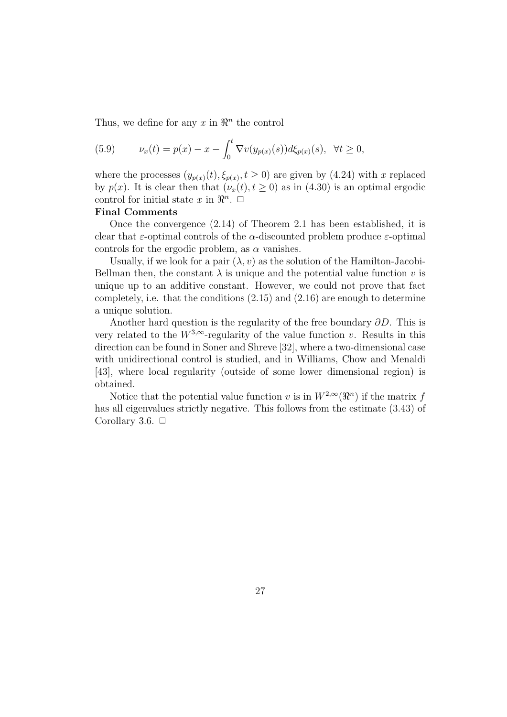Thus, we define for any  $x$  in  $\mathbb{R}^n$  the control

(5.9) 
$$
\nu_x(t) = p(x) - x - \int_0^t \nabla v(y_{p(x)}(s)) d\xi_{p(x)}(s), \ \forall t \ge 0,
$$

where the processes  $(y_{p(x)}(t), \xi_{p(x)}, t \ge 0)$  are given by (4.24) with *x* replaced by  $p(x)$ . It is clear then that  $(\nu_x(t), t \ge 0)$  as in (4.30) is an optimal ergodic control for initial state  $x$  in  $\mathbb{R}^n$ .  $\Box$ 

#### **Final Comments**

Once the convergence (2.14) of Theorem 2.1 has been established, it is clear that *ε*-optimal controls of the *α*-discounted problem produce *ε*-optimal controls for the ergodic problem, as  $\alpha$  vanishes.

Usually, if we look for a pair  $(\lambda, v)$  as the solution of the Hamilton-Jacobi-Bellman then, the constant  $\lambda$  is unique and the potential value function *v* is unique up to an additive constant. However, we could not prove that fact completely, i.e. that the conditions  $(2.15)$  and  $(2.16)$  are enough to determine a unique solution.

Another hard question is the regularity of the free boundary *∂D*. This is very related to the  $W^{3,\infty}$ -regularity of the value function *v*. Results in this direction can be found in Soner and Shreve [32], where a two-dimensional case with unidirectional control is studied, and in Williams, Chow and Menaldi [43], where local regularity (outside of some lower dimensional region) is obtained.

Notice that the potential value function *v* is in  $W^{2,\infty}(\mathbb{R}^n)$  if the matrix *f* has all eigenvalues strictly negative. This follows from the estimate (3.43) of Corollary 3.6.  $\Box$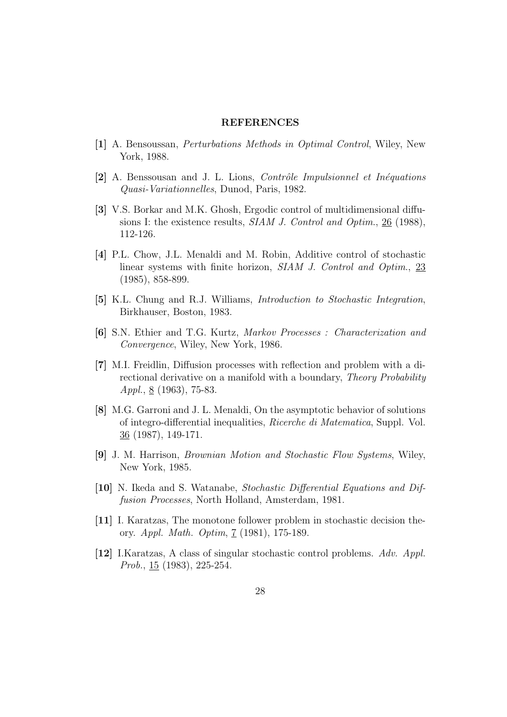#### **REFERENCES**

- **[1]** A. Bensoussan, *Perturbations Methods in Optimal Control*, Wiley, New York, 1988.
- **[2]** A. Benssousan and J. L. Lions, *Contrˆole Impulsionnel et In´equations Quasi-Variationnelles*, Dunod, Paris, 1982.
- **[3]** V.S. Borkar and M.K. Ghosh, Ergodic control of multidimensional diffusions I: the existence results, *SIAM J. Control and Optim*., 26 (1988), 112-126.
- **[4]** P.L. Chow, J.L. Menaldi and M. Robin, Additive control of stochastic linear systems with finite horizon, *SIAM J. Control and Optim*., 23 (1985), 858-899.
- **[5]** K.L. Chung and R.J. Williams, *Introduction to Stochastic Integration*, Birkhauser, Boston, 1983.
- **[6]** S.N. Ethier and T.G. Kurtz, *Markov Processes : Characterization and Convergence*, Wiley, New York, 1986.
- **[7]** M.I. Freidlin, Diffusion processes with reflection and problem with a directional derivative on a manifold with a boundary, *Theory Probability Appl.*, <u>8</u> (1963), 75-83.
- **[8]** M.G. Garroni and J. L. Menaldi, On the asymptotic behavior of solutions of integro-differential inequalities, *Ricerche di Matematica*, Suppl. Vol.  $36$  (1987), 149-171.
- **[9]** J. M. Harrison, *Brownian Motion and Stochastic Flow Systems*, Wiley, New York, 1985.
- **[10]** N. Ikeda and S. Watanabe, *Stochastic Differential Equations and Diffusion Processes*, North Holland, Amsterdam, 1981.
- **[11]** I. Karatzas, The monotone follower problem in stochastic decision theory. *Appl. Math. Optim*, 7 (1981), 175-189.
- **[12]** I.Karatzas, A class of singular stochastic control problems. *Adv. Appl. Prob.*, 15 (1983), 225-254.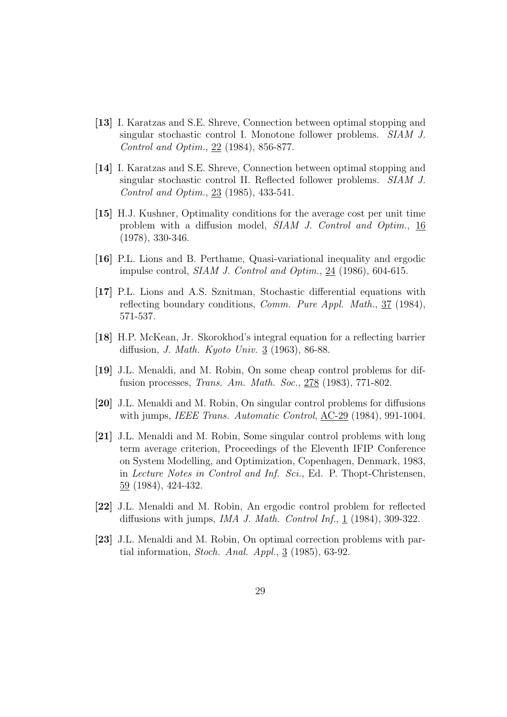- **[13]** I. Karatzas and S.E. Shreve, Connection between optimal stopping and singular stochastic control I. Monotone follower problems. *SIAM J. Control and Optim.*, 22 (1984), 856-877.
- **[14]** I. Karatzas and S.E. Shreve, Connection between optimal stopping and singular stochastic control II. Reflected follower problems. *SIAM J. Control and Optim.*, 23 (1985), 433-541.
- **[15]** H.J. Kushner, Optimality conditions for the average cost per unit time problem with a diffusion model, *SIAM J. Control and Optim.*, 16 (1978), 330-346.
- **[16]** P.L. Lions and B. Perthame, Quasi-variational inequality and ergodic impulse control, *SIAM J. Control and Optim.*, 24 (1986), 604-615.
- **[17]** P.L. Lions and A.S. Sznitman, Stochastic differential equations with reflecting boundary conditions, *Comm. Pure Appl. Math.*, 37 (1984), 571-537.
- **[18]** H.P. McKean, Jr. Skorokhod's integral equation for a reflecting barrier diffusion, *J. Math. Kyoto Univ.* 3 (1963), 86-88.
- **[19]** J.L. Menaldi, and M. Robin, On some cheap control problems for diffusion processes, *Trans. Am. Math. Soc.*, 278 (1983), 771-802.
- **[20]** J.L. Menaldi and M. Robin, On singular control problems for diffusions with jumps, *IEEE Trans. Automatic Control*, AC-29 (1984), 991-1004.
- **[21]** J.L. Menaldi and M. Robin, Some singular control problems with long term average criterion, Proceedings of the Eleventh IFIP Conference on System Modelling, and Optimization, Copenhagen, Denmark, 1983, in *Lecture Notes in Control and Inf. Sci.*, Ed. P. Thopt-Christensen, 59 (1984), 424-432.
- **[22]** J.L. Menaldi and M. Robin, An ergodic control problem for reflected diffusions with jumps, *IMA J. Math. Control Inf.*, 1 (1984), 309-322.
- **[23]** J.L. Menaldi and M. Robin, On optimal correction problems with partial information, *Stoch. Anal. Appl.*, 3 (1985), 63-92.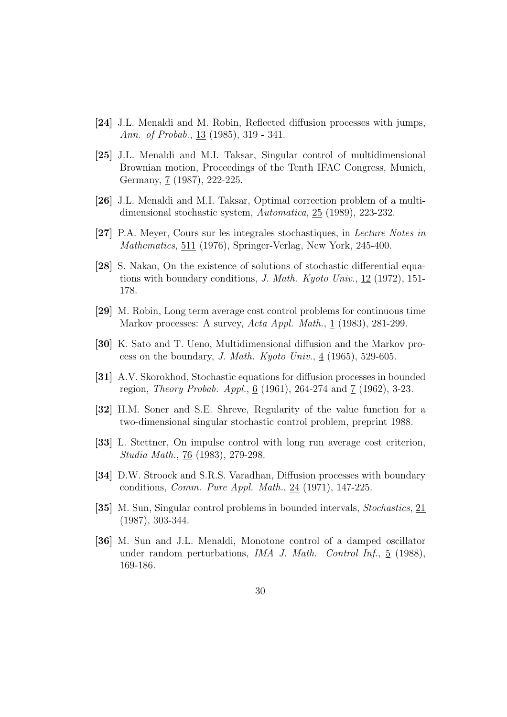- **[24]** J.L. Menaldi and M. Robin, Reflected diffusion processes with jumps, *Ann. of Probab.*, 13 (1985), 319 - 341.
- **[25]** J.L. Menaldi and M.I. Taksar, Singular control of multidimensional Brownian motion, Proceedings of the Tenth IFAC Congress, Munich, Germany, 7 (1987), 222-225.
- **[26]** J.L. Menaldi and M.I. Taksar, Optimal correction problem of a multidimensional stochastic system, *Automatica*, 25 (1989), 223-232.
- **[27]** P.A. Meyer, Cours sur les integrales stochastiques, in *Lecture Notes in Mathematics*, 511 (1976), Springer-Verlag, New York, 245-400.
- **[28]** S. Nakao, On the existence of solutions of stochastic differential equations with boundary conditions, *J. Math. Kyoto Univ.*, 12 (1972), 151- 178.
- **[29]** M. Robin, Long term average cost control problems for continuous time Markov processes: A survey, *Acta Appl. Math.*, 1 (1983), 281-299.
- **[30]** K. Sato and T. Ueno, Multidimensional diffusion and the Markov process on the boundary, *J. Math. Kyoto Univ.*,  $4(1965)$ , 529-605.
- **[31]** A.V. Skorokhod, Stochastic equations for diffusion processes in bounded region, *Theory Probab. Appl.*, <u>6</u> (1961), 264-274 and <u>7</u> (1962), 3-23.
- **[32]** H.M. Soner and S.E. Shreve, Regularity of the value function for a two-dimensional singular stochastic control problem, preprint 1988.
- **[33]** L. Stettner, On impulse control with long run average cost criterion, *Studia Math.*, 76 (1983), 279-298.
- **[34]** D.W. Stroock and S.R.S. Varadhan, Diffusion processes with boundary conditions, *Comm. Pure Appl. Math.*, 24 (1971), 147-225.
- **[35]** M. Sun, Singular control problems in bounded intervals, *Stochastics*, 21 (1987), 303-344.
- **[36]** M. Sun and J.L. Menaldi, Monotone control of a damped oscillator under random perturbations, *IMA J. Math. Control Inf.*, 5 (1988), 169-186.